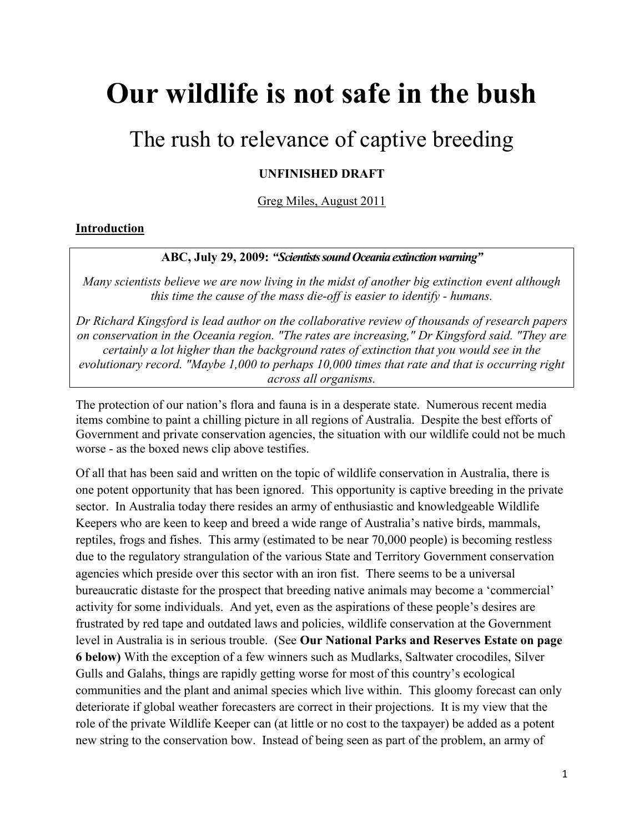# **Our wildlife is not safe in the bush**

# The rush to relevance of captive breeding

# **UNFINISHED DRAFT**

Greg Miles, August 2011

#### **Introduction**

#### **ABC, July 29, 2009:** *"ScientistssoundOceaniaextinctionwarning"*

*Many scientists believe we are now living in the midst of another big extinction event although this time the cause of the mass die-off is easier to identify - humans.*

*Dr Richard Kingsford is lead author on the collaborative review of thousands of research papers on conservation in the Oceania region. "The rates are increasing," Dr Kingsford said. "They are certainly a lot higher than the background rates of extinction that you would see in the evolutionary record. "Maybe 1,000 to perhaps 10,000 times that rate and that is occurring right across all organisms.*

The protection of our nation's flora and fauna is in a desperate state. Numerous recent media items combine to paint a chilling picture in all regions of Australia. Despite the best efforts of Government and private conservation agencies, the situation with our wildlife could not be much worse - as the boxed news clip above testifies.

Of all that has been said and written on the topic of wildlife conservation in Australia, there is one potent opportunity that has been ignored. This opportunity is captive breeding in the private sector. In Australia today there resides an army of enthusiastic and knowledgeable Wildlife Keepers who are keen to keep and breed a wide range of Australia's native birds, mammals, reptiles, frogs and fishes. This army (estimated to be near 70,000 people) is becoming restless due to the regulatory strangulation of the various State and Territory Government conservation agencies which preside over this sector with an iron fist. There seems to be a universal bureaucratic distaste for the prospect that breeding native animals may become a 'commercial' activity for some individuals. And yet, even as the aspirations of these people's desires are frustrated by red tape and outdated laws and policies, wildlife conservation at the Government level in Australia is in serious trouble. (See **Our National Parks and Reserves Estate on page 6 below)** With the exception of a few winners such as Mudlarks, Saltwater crocodiles, Silver Gulls and Galahs, things are rapidly getting worse for most of this country's ecological communities and the plant and animal species which live within. This gloomy forecast can only deteriorate if global weather forecasters are correct in their projections. It is my view that the role of the private Wildlife Keeper can (at little or no cost to the taxpayer) be added as a potent new string to the conservation bow. Instead of being seen as part of the problem, an army of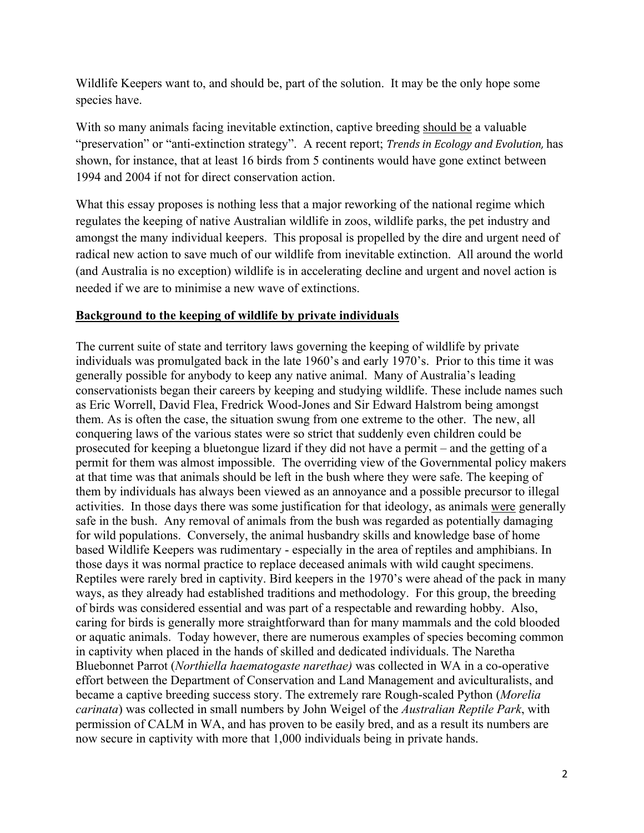Wildlife Keepers want to, and should be, part of the solution. It may be the only hope some species have.

With so many animals facing inevitable extinction, captive breeding should be a valuable "preservation" or "anti-extinction strategy". A recent report; *Trends in Ecology and Evolution,* has shown, for instance, that at least 16 birds from 5 continents would have gone extinct between 1994 and 2004 if not for direct conservation action.

What this essay proposes is nothing less that a major reworking of the national regime which regulates the keeping of native Australian wildlife in zoos, wildlife parks, the pet industry and amongst the many individual keepers. This proposal is propelled by the dire and urgent need of radical new action to save much of our wildlife from inevitable extinction. All around the world (and Australia is no exception) wildlife is in accelerating decline and urgent and novel action is needed if we are to minimise a new wave of extinctions.

# **Background to the keeping of wildlife by private individuals**

The current suite of state and territory laws governing the keeping of wildlife by private individuals was promulgated back in the late 1960's and early 1970's. Prior to this time it was generally possible for anybody to keep any native animal. Many of Australia's leading conservationists began their careers by keeping and studying wildlife. These include names such as Eric Worrell, David Flea, Fredrick Wood-Jones and Sir Edward Halstrom being amongst them. As is often the case, the situation swung from one extreme to the other. The new, all conquering laws of the various states were so strict that suddenly even children could be prosecuted for keeping a bluetongue lizard if they did not have a permit – and the getting of a permit for them was almost impossible. The overriding view of the Governmental policy makers at that time was that animals should be left in the bush where they were safe. The keeping of them by individuals has always been viewed as an annoyance and a possible precursor to illegal activities. In those days there was some justification for that ideology, as animals were generally safe in the bush. Any removal of animals from the bush was regarded as potentially damaging for wild populations. Conversely, the animal husbandry skills and knowledge base of home based Wildlife Keepers was rudimentary - especially in the area of reptiles and amphibians. In those days it was normal practice to replace deceased animals with wild caught specimens. Reptiles were rarely bred in captivity. Bird keepers in the 1970's were ahead of the pack in many ways, as they already had established traditions and methodology. For this group, the breeding of birds was considered essential and was part of a respectable and rewarding hobby. Also, caring for birds is generally more straightforward than for many mammals and the cold blooded or aquatic animals. Today however, there are numerous examples of species becoming common in captivity when placed in the hands of skilled and dedicated individuals. The Naretha Bluebonnet Parrot (*Northiella haematogaste narethae)* was collected in WA in a co-operative effort between the Department of Conservation and Land Management and aviculturalists, and became a captive breeding success story. The extremely rare Rough-scaled Python (*Morelia carinata*) was collected in small numbers by John Weigel of the *Australian Reptile Park*, with permission of CALM in WA, and has proven to be easily bred, and as a result its numbers are now secure in captivity with more that 1,000 individuals being in private hands.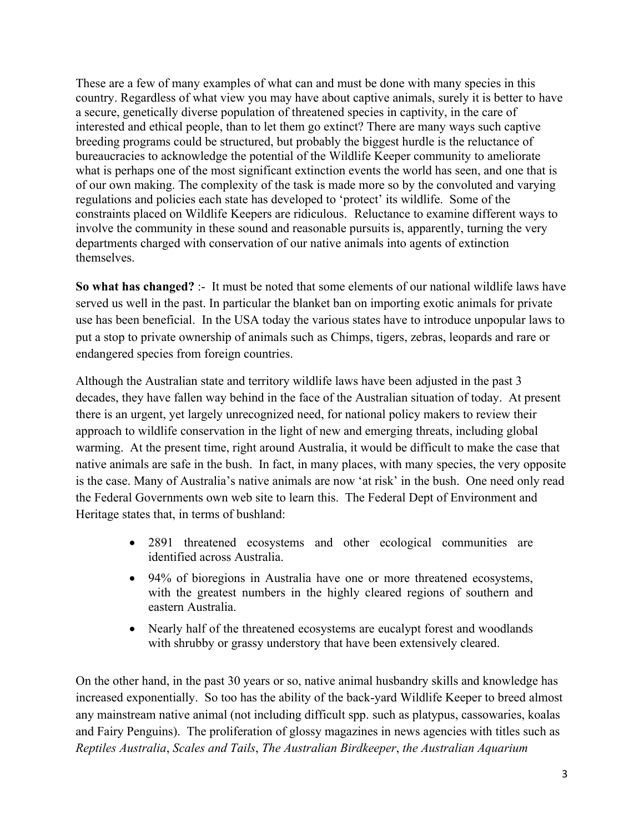These are a few of many examples of what can and must be done with many species in this country. Regardless of what view you may have about captive animals, surely it is better to have a secure, genetically diverse population of threatened species in captivity, in the care of interested and ethical people, than to let them go extinct? There are many ways such captive breeding programs could be structured, but probably the biggest hurdle is the reluctance of bureaucracies to acknowledge the potential of the Wildlife Keeper community to ameliorate what is perhaps one of the most significant extinction events the world has seen, and one that is of our own making. The complexity of the task is made more so by the convoluted and varying regulations and policies each state has developed to 'protect' its wildlife. Some of the constraints placed on Wildlife Keepers are ridiculous. Reluctance to examine different ways to involve the community in these sound and reasonable pursuits is, apparently, turning the very departments charged with conservation of our native animals into agents of extinction themselves.

**So what has changed?** :- It must be noted that some elements of our national wildlife laws have served us well in the past. In particular the blanket ban on importing exotic animals for private use has been beneficial. In the USA today the various states have to introduce unpopular laws to put a stop to private ownership of animals such as Chimps, tigers, zebras, leopards and rare or endangered species from foreign countries.

Although the Australian state and territory wildlife laws have been adjusted in the past 3 decades, they have fallen way behind in the face of the Australian situation of today. At present there is an urgent, yet largely unrecognized need, for national policy makers to review their approach to wildlife conservation in the light of new and emerging threats, including global warming. At the present time, right around Australia, it would be difficult to make the case that native animals are safe in the bush. In fact, in many places, with many species, the very opposite is the case. Many of Australia's native animals are now 'at risk' in the bush. One need only read the Federal Governments own web site to learn this. The Federal Dept of Environment and Heritage states that, in terms of bushland:

- 2891 threatened ecosystems and other ecological communities are identified across Australia.
- 94% of bioregions in Australia have one or more threatened ecosystems, with the greatest numbers in the highly cleared regions of southern and eastern Australia.
- Nearly half of the threatened ecosystems are eucalypt forest and woodlands with shrubby or grassy understory that have been extensively cleared.

On the other hand, in the past 30 years or so, native animal husbandry skills and knowledge has increased exponentially. So too has the ability of the back-yard Wildlife Keeper to breed almost any mainstream native animal (not including difficult spp. such as platypus, cassowaries, koalas and Fairy Penguins). The proliferation of glossy magazines in news agencies with titles such as *Reptiles Australia*, *Scales and Tails*, *The Australian Birdkeeper*, *the Australian Aquarium*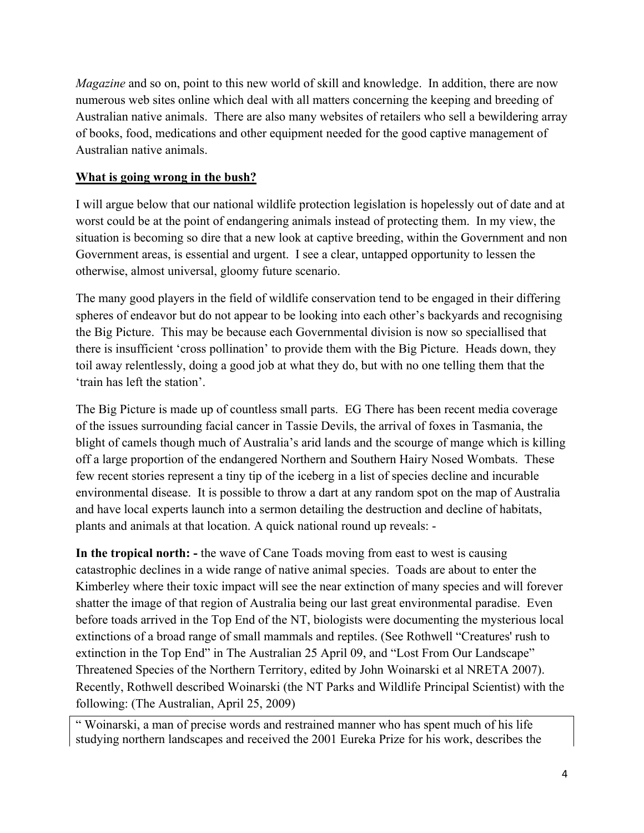|                           | $\pmb{\cdot}$      | ļ                        |                           | $\mathbf{I}$          | Ţ                             | $\mathbf{l}=\mathbf{l}$ | ٠                                                              |               | J.<br>ļ                                                                                                                                                                                                                                                                                                                                                                                               |                                     | $\pmb{8}$<br>$\mathbf{I}$            |                         |               |                          |             | ļ          |
|---------------------------|--------------------|--------------------------|---------------------------|-----------------------|-------------------------------|-------------------------|----------------------------------------------------------------|---------------|-------------------------------------------------------------------------------------------------------------------------------------------------------------------------------------------------------------------------------------------------------------------------------------------------------------------------------------------------------------------------------------------------------|-------------------------------------|--------------------------------------|-------------------------|---------------|--------------------------|-------------|------------|
|                           | $\mathbf{I}$       |                          |                           |                       |                               |                         | $\frac{\mathsf{p}}{\mathsf{p}}$                                | $=$           |                                                                                                                                                                                                                                                                                                                                                                                                       |                                     |                                      | $\mathbb{I}=\mathbb{I}$ |               |                          | $\%$        |            |
|                           |                    | $\ddot{}$                | $\ddot{}$                 | $\ddot{}$             |                               |                         |                                                                |               |                                                                                                                                                                                                                                                                                                                                                                                                       |                                     |                                      |                         |               |                          |             |            |
| &!<br>$\mathbf{I}$        |                    |                          | Ţ                         |                       | Ţ                             |                         |                                                                |               |                                                                                                                                                                                                                                                                                                                                                                                                       |                                     |                                      | $\%$                    |               | $\pmb{8}$                | $\%$        | Ţ          |
|                           | $\pmb{\mathsf{l}}$ |                          |                           |                       |                               |                         | &<br>$\frac{1}{2}$                                             | Ţ             | $\pmb{\cdot}$                                                                                                                                                                                                                                                                                                                                                                                         |                                     | Ţ                                    | $\frac{1}{2}$           |               |                          |             |            |
|                           |                    | $\%$                     |                           | $\%$                  |                               | Ţ                       | $\pmb{\mathsf{I}}$                                             |               |                                                                                                                                                                                                                                                                                                                                                                                                       |                                     |                                      |                         |               |                          |             |            |
|                           | $\mathsf A$        | $\boldsymbol{8}$         |                           | $\%$                  |                               |                         |                                                                |               |                                                                                                                                                                                                                                                                                                                                                                                                       |                                     |                                      | Ţ                       | $^{\prime}$ % |                          |             |            |
|                           | $\mathbf{I}$       | $\%$                     |                           | .<br>%                |                               | Ţ                       |                                                                | $\frac{9}{6}$ | Ţ                                                                                                                                                                                                                                                                                                                                                                                                     | .8 <sub>1</sub>                     |                                      | $<\!\!{\mathsf A}$      | $\mathbf{I}$  | $\%$                     |             |            |
|                           | $\mathsf A$        | 8                        |                           |                       |                               |                         |                                                                | 9             |                                                                                                                                                                                                                                                                                                                                                                                                       |                                     |                                      |                         |               |                          |             |            |
|                           |                    |                          |                           |                       |                               |                         |                                                                |               |                                                                                                                                                                                                                                                                                                                                                                                                       |                                     | $\#$                                 |                         |               | $\Gamma$                 |             |            |
| Ţ                         |                    |                          |                           |                       | $\%$<br>$\boldsymbol{\alpha}$ |                         |                                                                |               | $\%$                                                                                                                                                                                                                                                                                                                                                                                                  | $\prec$<br>$\overline{\phantom{a}}$ |                                      | % $($                   |               |                          |             |            |
|                           |                    |                          | $\#$                      |                       | $=$                           |                         |                                                                |               |                                                                                                                                                                                                                                                                                                                                                                                                       |                                     | $\mathsf D$                          | $\blacksquare$          |               |                          |             |            |
|                           |                    | $\star$                  |                           | 8! 0                  |                               | $\tilde{?}$             |                                                                |               |                                                                                                                                                                                                                                                                                                                                                                                                       |                                     |                                      | Ţ                       |               |                          |             |            |
|                           |                    | $\%$ !                   |                           | Ţ<br>$\#$             |                               | $\mathbf{I}$            |                                                                |               | $\#$                                                                                                                                                                                                                                                                                                                                                                                                  |                                     |                                      | $\%$                    |               |                          |             |            |
|                           |                    |                          |                           |                       | $\boldsymbol{9}$              |                         |                                                                |               | $\pmb{\cdot}$                                                                                                                                                                                                                                                                                                                                                                                         |                                     |                                      |                         |               | $\%$                     |             |            |
| $\#$<br>$\#$              |                    |                          |                           | $\boldsymbol{9}$<br>1 |                               |                         | $\overline{4}$                                                 |               |                                                                                                                                                                                                                                                                                                                                                                                                       | $^{\circledR}$<br>05B               | Ţ<br>t,<br>$\mathbf{L}$              | 0?<br>$\frac{1}{2}$     | $\sf B$       | $\overline{\phantom{a}}$ | 1           |            |
| $^\text{\textregistered}$ | $\mathbf{I}$       | $\%$<br>$D^*$            | $^\text{\textregistered}$ | $\frac{1}{2}$         |                               |                         | $\%$<br>$\bf 8$<br>$\overline{(\ }$<br>$\overline{\mathbf{4}}$ | $\%$<br>¥,    | $\cdot$<br>$\star$<br>${\bf 5}$ ,                                                                                                                                                                                                                                                                                                                                                                     | $\overline{(\ }$                    |                                      | $\bf 8$                 |               | @ 9                      |             | $+$ ,<br>, |
| $\overline{0}$            | $\frac{1}{2}$      | $\overline{\phantom{0}}$ |                           |                       | I                             |                         |                                                                |               | $\mathbf{I}% =\mathbf{I}^{T}\mathbf{e}_{\mathbf{I}}\mathbf{v}^{T}\mathbf{v}^{T}\mathbf{v}^{T}\mathbf{v}^{T}\mathbf{v}^{T}\mathbf{v}^{T}\mathbf{v}^{T}\mathbf{v}^{T}\mathbf{v}^{T}\mathbf{v}^{T}\mathbf{v}^{T}\mathbf{v}^{T}\mathbf{v}^{T}\mathbf{v}^{T}\mathbf{v}^{T}\mathbf{v}^{T}\mathbf{v}^{T}\mathbf{v}^{T}\mathbf{v}^{T}\mathbf{v}^{T}\mathbf{v}^{T}\mathbf{v}^{T}\mathbf{v}^{T}\mathbf{v}^{T}\$ | $\boldsymbol{9}$                    | $\bf 8$<br>$\mathbf{I}_{\mathbf{I}}$ | $\overline{7}$          |               | $\mathbf{I}$             | $\mathsf I$ |            |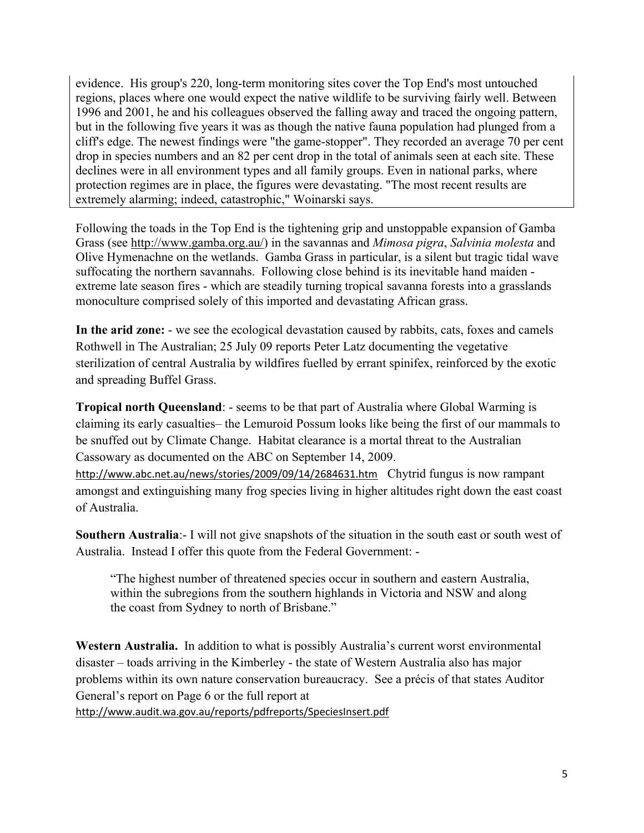| $\frac{G}{\%}$<br>$\%$<br>$\mathbf{I}$<br>$\frac{9}{J}$<br>Ţ<br>Ţ<br>$\%$<br>$\%$<br>$\overline{2}$<br>$\#$<br>$\mathbf{I}_{\mathbf{I}}$<br>$\mathsf J$<br>$\boldsymbol{9}$<br>$\#$<br>t<br>DKK!!!<br>$\mathsf K$ ,<br>$\star$<br>$\, \, \raisebox{12pt}{$\scriptstyle \$}$<br>$<\frac{0}{0}$<br>ļ<br>$\pmb{\mathsf{H}}$<br>Ţ<br>$\ddot{\phantom{a}}$<br>$\%$<br>H<br>$\#$<br>Ţ<br>$\frac{1}{2}$<br>$1$ ! & "<br>$\%$<br>$\#$<br>$\bf 8$<br>$\overline{2}$<br>$^\text{\textregistered}$<br>% B 5 7<br>$4$ ;<br>Ţ<br>$\%$ !<br>$\%$<br>$\overline{7}$<br>$\#$<br>$\mathsf A$<br>$\overline{2}$<br>$\mathsf D$ "<br>$\star$<br>ļ<br>$\frac{1}{\sqrt{2}}$<br>> 8<br>$\sf B$<br>$\mathbf I$<br>$\mathsf I$<br>$%$ ?<br>? $\leq$<br>A ?<br>$\%$<br>$\ddot{?}$<br>$\,6\,$<br>$\overline{5}$<br>$\mathbf{I}$<br>? $%$ | $\#$<br>$\%$<br>$D$ " $\,$ &<br>$\pmb{\&}$<br>$\&$<br>D<br>$=$<br>$\begin{matrix} 0 \\ 1 \end{matrix}$ | 553 |                          |  | Ţ<br>$\mathbf{I}$ | Ţ<br>$\%$ | $\#$ | Ţ |   |   | $\mathbf{H}$ | ! $%$       | $\%$ | $\mathbf{I}$ . | $\mathsf{A}$ |
|----------------------------------------------------------------------------------------------------------------------------------------------------------------------------------------------------------------------------------------------------------------------------------------------------------------------------------------------------------------------------------------------------------------------------------------------------------------------------------------------------------------------------------------------------------------------------------------------------------------------------------------------------------------------------------------------------------------------------------------------------------------------------------------------------------------|--------------------------------------------------------------------------------------------------------|-----|--------------------------|--|-------------------|-----------|------|---|---|---|--------------|-------------|------|----------------|--------------|
|                                                                                                                                                                                                                                                                                                                                                                                                                                                                                                                                                                                                                                                                                                                                                                                                                |                                                                                                        |     | $\overline{\phantom{a}}$ |  |                   |           |      |   | Ţ | J |              | $\mathsf J$ |      | $\%$           |              |
|                                                                                                                                                                                                                                                                                                                                                                                                                                                                                                                                                                                                                                                                                                                                                                                                                |                                                                                                        |     |                          |  |                   |           |      |   |   |   |              |             |      |                |              |
|                                                                                                                                                                                                                                                                                                                                                                                                                                                                                                                                                                                                                                                                                                                                                                                                                |                                                                                                        |     |                          |  |                   |           |      |   |   |   |              |             |      |                |              |
|                                                                                                                                                                                                                                                                                                                                                                                                                                                                                                                                                                                                                                                                                                                                                                                                                |                                                                                                        |     |                          |  |                   |           |      |   |   |   |              |             |      |                |              |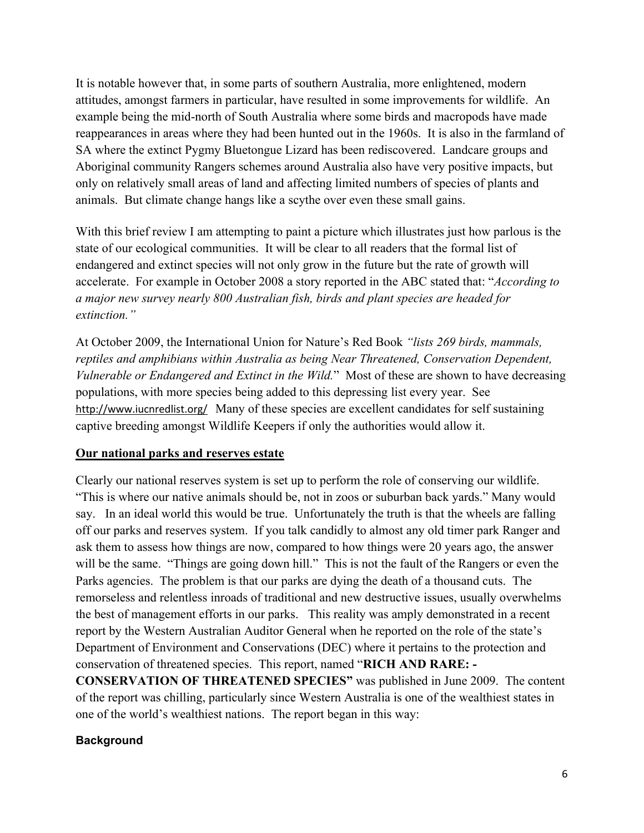| $\boldsymbol{\&}$                                                                                                                 | ļ                                                 |                                                                                         |                                   |                                                           | Ţ                                                |                                           |                    |
|-----------------------------------------------------------------------------------------------------------------------------------|---------------------------------------------------|-----------------------------------------------------------------------------------------|-----------------------------------|-----------------------------------------------------------|--------------------------------------------------|-------------------------------------------|--------------------|
| #<br>I<br>$\%$<br>$\boldsymbol{\mathsf{A}}$                                                                                       | Ш<br>ļ.<br>$8\ \%$<br>$\#$<br>% $@$<br>$\%$       | $\mathbf{I}%$<br>$\%$<br>% $A$<br>$\frac{\mathrm{d} \mathbf{y}}{\mathrm{d} \mathbf{y}}$ | <b>B</b> 7                        | 53 &<br>$\%$                                              |                                                  |                                           | $\sf B$            |
|                                                                                                                                   | $\frac{1}{8}$<br>$\#$<br>$\#$                     | $\&$<br>Ţ<br>Ţ<br>$$\mathbb{S}$$ . % %                                                  | Ţ<br>$\%$<br>G<br>$\mathbf{u}$    | ļ<br><b>%?</b>                                            | $D \quad 0$                                      | ļ                                         | Ţ                  |
| \$<br>$\overline{5}$                                                                                                              | $\&$<br>$\overline{5}$<br>$\,$ 6 $\,$<br>I<br>#   | $\mathsf E$<br>$\,6$<br>$\overline{7}$<br>$%$ \$\$\$                                    | <b>GA</b><br>I.<br>ļ<br>1<br>$\#$ | $\pmb{0}$<br>$\mathbf{a}^{\shortparallel}$<br>% %<br>$\%$ | 123                                              | H<br>ı                                    | $\pmb{\mathsf{H}}$ |
| $\begin{array}{c} ? \\ 0 \end{array}$<br>$\%$<br>Ţ<br>$\frac{1}{2}$<br>$\pmb{\&}$<br>$\mathbf{r}$<br>Ţ<br>$\bf{8}$<br>$\mathbf I$ | $\star$<br>Ţ<br>$\%$<br>$\mathbf{I}$<br>$\pmb{0}$ | $\%$<br>!E<br>$8%$<br>I<br>Ţ.                                                           | $\%$<br>$\%$<br>ļ.<br>$\%$<br>Ţ   | $\overline{7}$<br>$\mathbf{1}$<br>1                       | Ţ<br>$\%$ '<br>$\%$<br>$^\text{\textregistered}$ | $^\text{\textregistered}$<br>$\mathbf{I}$ | $^{\prime}$ %      |
| $\%$<br>$\overline{\mathbf{4}}$                                                                                                   | $\boldsymbol{9}$<br>Ţ                             | $\mathbf{I}$<br>?<br>5 <sup>1</sup><br>$\mathbf I$                                      | $\star$<br>$\mathbf 0$<br>$\%$    | $\%$ %<br>$9 ?$ , !<br>& 0<br>(<br>%         D            | $\%$<br>$\mathbf 5$                              | ļ                                         |                    |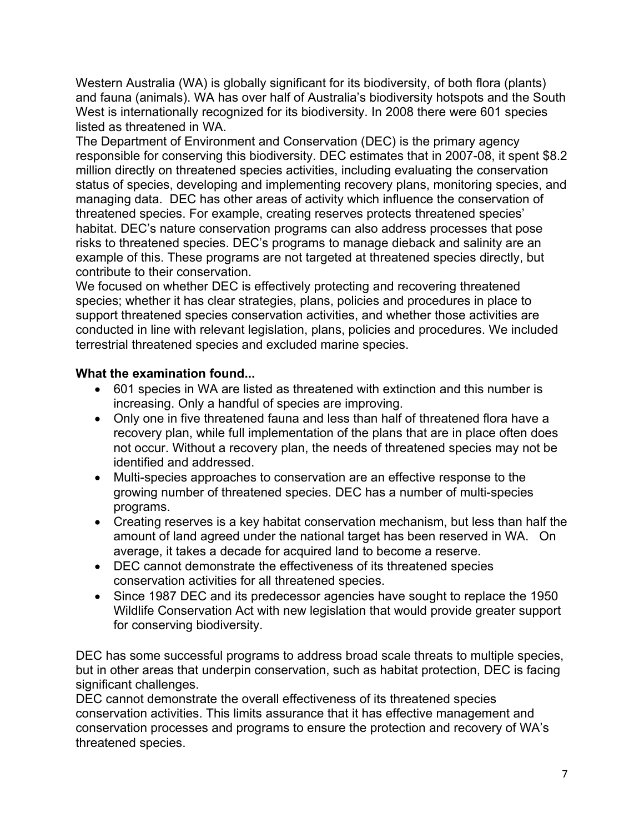Western Australia (WA) is globally significant for its biodiversity, of both flora (plants) and fauna (animals). WA has over half of Australia's biodiversity hotspots and the South West is internationally recognized for its biodiversity. In 2008 there were 601 species listed as threatened in WA.

The Department of Environment and Conservation (DEC) is the primary agency responsible for conserving this biodiversity. DEC estimates that in 2007-08, it spent \$8.2 million directly on threatened species activities, including evaluating the conservation status of species, developing and implementing recovery plans, monitoring species, and managing data. DEC has other areas of activity which influence the conservation of threatened species. For example, creating reserves protects threatened species' habitat. DEC's nature conservation programs can also address processes that pose risks to threatened species. DEC's programs to manage dieback and salinity are an example of this. These programs are not targeted at threatened species directly, but contribute to their conservation.

We focused on whether DEC is effectively protecting and recovering threatened species; whether it has clear strategies, plans, policies and procedures in place to support threatened species conservation activities, and whether those activities are conducted in line with relevant legislation, plans, policies and procedures. We included terrestrial threatened species and excluded marine species.

# **What the examination found...**

- 601 species in WA are listed as threatened with extinction and this number is increasing. Only a handful of species are improving.
- Only one in five threatened fauna and less than half of threatened flora have a recovery plan, while full implementation of the plans that are in place often does not occur. Without a recovery plan, the needs of threatened species may not be identified and addressed.
- Multi-species approaches to conservation are an effective response to the growing number of threatened species. DEC has a number of multi-species programs.
- Creating reserves is a key habitat conservation mechanism, but less than half the amount of land agreed under the national target has been reserved in WA. On average, it takes a decade for acquired land to become a reserve.
- DEC cannot demonstrate the effectiveness of its threatened species conservation activities for all threatened species.
- Since 1987 DEC and its predecessor agencies have sought to replace the 1950 Wildlife Conservation Act with new legislation that would provide greater support for conserving biodiversity.

DEC has some successful programs to address broad scale threats to multiple species, but in other areas that underpin conservation, such as habitat protection, DEC is facing significant challenges.

DEC cannot demonstrate the overall effectiveness of its threatened species conservation activities. This limits assurance that it has effective management and conservation processes and programs to ensure the protection and recovery of WA's threatened species.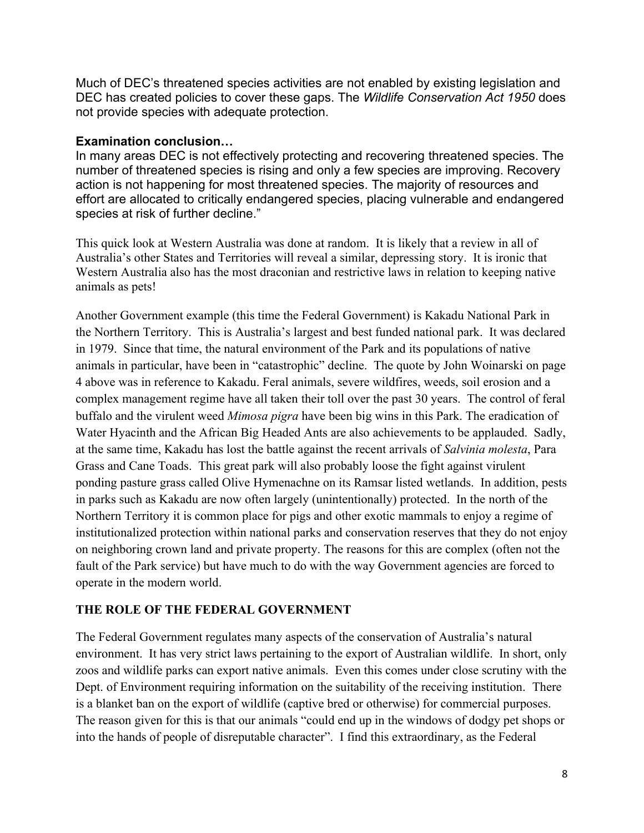Much of DEC's threatened species activities are not enabled by existing legislation and DEC has created policies to cover these gaps. The *Wildlife Conservation Act 1950* does not provide species with adequate protection.

#### **Examination conclusion…**

In many areas DEC is not effectively protecting and recovering threatened species. The number of threatened species is rising and only a few species are improving. Recovery action is not happening for most threatened species. The majority of resources and effort are allocated to critically endangered species, placing vulnerable and endangered species at risk of further decline."

This quick look at Western Australia was done at random. It is likely that a review in all of Australia's other States and Territories will reveal a similar, depressing story. It is ironic that Western Australia also has the most draconian and restrictive laws in relation to keeping native animals as pets!

Another Government example (this time the Federal Government) is Kakadu National Park in the Northern Territory. This is Australia's largest and best funded national park. It was declared in 1979. Since that time, the natural environment of the Park and its populations of native animals in particular, have been in "catastrophic" decline. The quote by John Woinarski on page 4 above was in reference to Kakadu. Feral animals, severe wildfires, weeds, soil erosion and a complex management regime have all taken their toll over the past 30 years. The control of feral buffalo and the virulent weed *Mimosa pigra* have been big wins in this Park. The eradication of Water Hyacinth and the African Big Headed Ants are also achievements to be applauded. Sadly, at the same time, Kakadu has lost the battle against the recent arrivals of *Salvinia molesta*, Para Grass and Cane Toads. This great park will also probably loose the fight against virulent ponding pasture grass called Olive Hymenachne on its Ramsar listed wetlands. In addition, pests in parks such as Kakadu are now often largely (unintentionally) protected. In the north of the Northern Territory it is common place for pigs and other exotic mammals to enjoy a regime of institutionalized protection within national parks and conservation reserves that they do not enjoy on neighboring crown land and private property. The reasons for this are complex (often not the fault of the Park service) but have much to do with the way Government agencies are forced to operate in the modern world.

# **THE ROLE OF THE FEDERAL GOVERNMENT**

The Federal Government regulates many aspects of the conservation of Australia's natural environment. It has very strict laws pertaining to the export of Australian wildlife. In short, only zoos and wildlife parks can export native animals. Even this comes under close scrutiny with the Dept. of Environment requiring information on the suitability of the receiving institution. There is a blanket ban on the export of wildlife (captive bred or otherwise) for commercial purposes. The reason given for this is that our animals "could end up in the windows of dodgy pet shops or into the hands of people of disreputable character". I find this extraordinary, as the Federal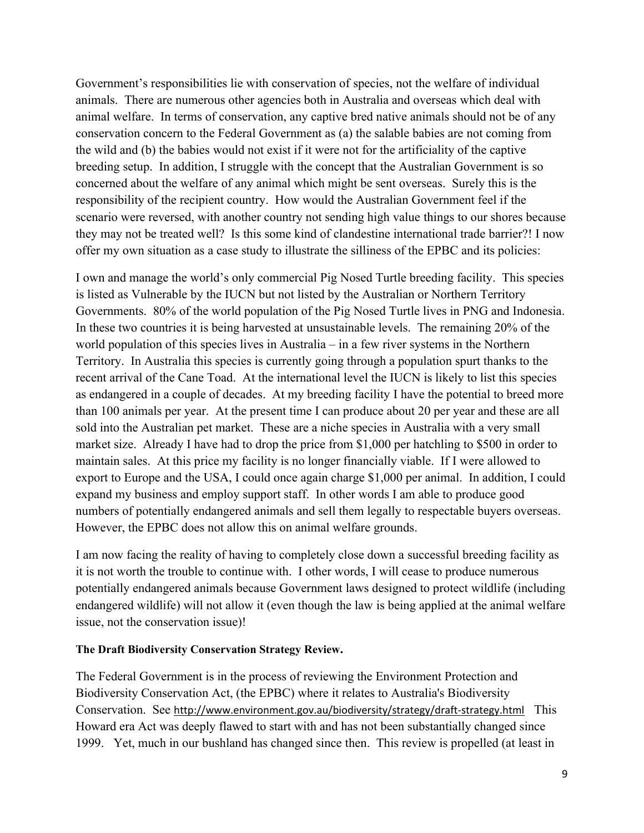$\frac{1}{2}$  $\mathbf{I}$  $\perp$  $\sim 10^{-1}$  $\mathbf{I}$  $\alpha$  $\%$  $\%$  $\sim 1$  $\sim 1$  $\#$  $\%$  $\begin{array}{c} \rule{0pt}{2ex} \rule{0pt}{2ex} \rule{0pt}{2ex} \rule{0pt}{2ex} \rule{0pt}{2ex} \rule{0pt}{2ex} \rule{0pt}{2ex} \rule{0pt}{2ex} \rule{0pt}{2ex} \rule{0pt}{2ex} \rule{0pt}{2ex} \rule{0pt}{2ex} \rule{0pt}{2ex} \rule{0pt}{2ex} \rule{0pt}{2ex} \rule{0pt}{2ex} \rule{0pt}{2ex} \rule{0pt}{2ex} \rule{0pt}{2ex} \rule{0pt}{2ex} \rule{0pt}{2ex} \rule{0pt}{2ex} \rule{0pt}{2ex} \rule{0pt}{$  $\sim 1$  $\&$  $\boldsymbol{\&}$  $\mathbb{R}^n$  $\frac{1}{2}$  $\%$  $\frac{1}{2}$  $\mathbf{I}$  $\frac{9}{6}$  $\%$  $\langle$  !!  $\Gamma$  .  $\frac{1}{2}$  $\mathbf{I}$  $\sim 0.5$  $\pm$ &C  $\%$  $\frac{0}{0}$ C N &  $\mathbf{I}$ 98A?  $\%$  $\%$  $\overline{\phantom{a}}$ D %  $8$ <br>% & E ?  $\frac{0}{0}$ & !  $\sim 1$  .  $L$ & E ?  $\%$ G H  $\mathbb{R}^2$  $\boldsymbol{8}$  $\alpha$ 8  $\&$  $\mathbf{I}$  $H$ ℅  $\mathbf{I}$  $\mathbf{I}$ &<br>?  $\mathbf{r}^{\prime}$  $\%$  $\%$  $\sim 100$ & E ?  $\frac{0}{0}$  $% &$  $%$  $\%$  $\&$  $%$  $\frac{1}{\sqrt{1}}$  $\%$  $\sim 1$  $\overline{7}$  $8<sub>1</sub>$  $\%$  $\bigcirc$  $\%$  $\%$ & !  $\frac{1}{2}$  $\boldsymbol{\&}$  $9<sup>1</sup>$  $E - 8$  $\&$  $\circ$  $#$  $\boldsymbol{\alpha}$  $\&$  $\%$  $\frac{0}{0}$  $\mathbf{I}$  $\alpha$  $\#$  $\%$  $\frac{1}{2}$  $\%$ 98A?  $\mathbf{I}^{\top}$  $\langle \ \ |$  $\mathbf{I}$  $\%$ &  $\%$  $\mathbf{I}$  $\%$  $\mathbf{I}$  $\bar{\Gamma}$  $\mathbf{\&}$  $\mathbf{I}$  and &!!  $\frac{1}{2}$  $\mathbf{I}$ Ţ  $\star$  $\mathbf{I}$  $, 1$  $\mathbf{I}$  $\mathbf{I}$  $\mathbf{I}$  $\overline{N}$  $\big)$ n  $\mathcal{L}$  $\overline{\phantom{a}}$  $3"$  $\sim 10^{-11}$  $\mathbf{I}$  $\overline{9}$  $8<sup>8</sup>$  $\overline{A}$  $I \quad A$  $%$  ?  $98A?$ , !  $\star$  $\%$  $\ddot{?}$ & &  $\mathcal{R}$  $\overline{1}$  $\frac{1}{2}$  $\mathbf{I}$  $\mathbf{I}$  $\leq$  !  $\frac{9}{6}$ 555  $\Gamma$  $\star$  $\mathsf{P}$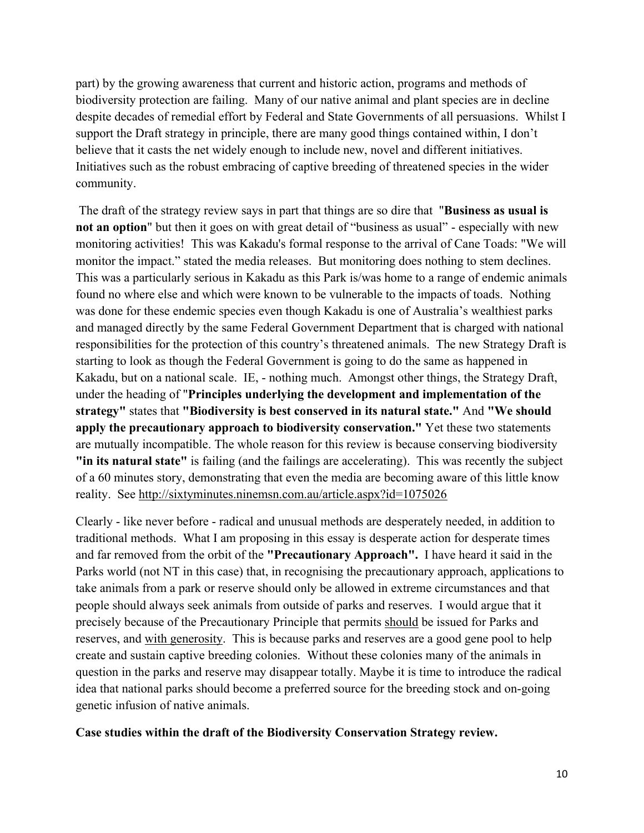$\Gamma = -\Gamma$  .  $\%$  $\overline{1}$  $\%$  $\%$  $\%$  :  $\frac{0}{0}$  $\frac{0}{0}$  $\frac{1}{8}$  $\%$  $\mathbf{I}$  $\frac{1}{2}$  $\&$  $\mathbf{I}% \mathbf{A}\mathbf{B}=\mathbf{I}_{\mathbf{A}}\mathbf{A}+\mathbf{I}_{\mathbf{A}}\mathbf{A}+\mathbf{I}_{\mathbf{A}}\mathbf{A}+\mathbf{I}_{\mathbf{A}}\mathbf{A}+\mathbf{I}_{\mathbf{A}}\mathbf{A}+\mathbf{I}_{\mathbf{A}}\mathbf{A}+\mathbf{I}_{\mathbf{A}}\mathbf{A}+\mathbf{I}_{\mathbf{A}}\mathbf{A}+\mathbf{I}_{\mathbf{A}}\mathbf{A}+\mathbf{I}_{\mathbf{A}}\mathbf{A}+\mathbf{I}_{\mathbf{A}}\mathbf{A}+\mathbf{I$  $\frac{1}{2}$  $\%$  $\frac{9}{0!}$  $\mathsf{J}$  $\overline{N}$  $0"$  $\mathbf{I}$  $!$  % ! 1  $\overline{\mathsf{J}}$  $\overline{)}$   $\overline{ }$  $D J($ !  $\mathbf{L}$  $\ddot{?}$  $1<sup>1</sup>$  $\mathsf{A}$  $K!$  $\%$  $)$  ' 8 '  $\mathbf{I}% =\mathbf{I}^{T}\mathbf{e}_{\mathbf{I}^{T}}\mathbf{v}^{T}\mathbf{v}^{T}\mathbf{v}^{T}\mathbf{v}^{T}\mathbf{v}^{T}\mathbf{v}^{T}\mathbf{v}^{T}\mathbf{v}^{T}\mathbf{v}^{T}\mathbf{v}^{T}\mathbf{v}^{T}\mathbf{v}^{T}\mathbf{v}^{T}\mathbf{v}^{T}\mathbf{v}^{T}\mathbf{v}^{T}\mathbf{v}^{T}\mathbf{v}^{T}\mathbf{v}^{T}\mathbf{v}^{T}\mathbf{v}^{T}\mathbf{v}^{T}\mathbf{v}^{T}\mathbf{v}$ L  $\mathbf{I}$  $\mathbf{I}$  $\frac{1}{2}$  $\mathbf{I}%$  $)$ <sup>'</sup>  $\mathbf{I}% _{t}\left| \mathbf{I}_{t}\right| =\mathbf{I}_{t}\left| \mathbf{I}_{t}\right|$  $\mathbf{l}$  $\frac{1}{2}$  $\frac{1}{2}$ ř.  $\mathbf{I}$  $\frac{1}{2}$  $\frac{1}{2}$   $\frac{1}{2}$  $\ddot{\phantom{a}}$  $)$  ' & 9  $\%$  $J'$  $* \, \mathfrak{B} * 9$  $\overline{)}$  $\ddot{}$  $3:1/$  $\overline{)}$  $\big)$  $\mathbf{u}$  $3: P$  $\left( \begin{array}{c} \end{array} \right)$  $\mathcal{E}$  $\mathbf{I}$  $\%$  $\Gamma$  $\%$ Ţ  $\bar{1}$  , ,  $\%$  $\mathbb{D}^{\mathbb{Z}}$ ł,  $\sqrt{2}$ %<br>DKK  $\mathbf{3}$  $\sim 1$  .  $\overline{1}$ K  $\%$  $#C$  $\mathsf Q$  $#$  $\frac{0}{0}$  $+4$  $\mathbf{u}$ % "  $\%$  $\overline{?}$  $\big($  $\&$  $\%$  $\bar{\mathbf{u}}$  $\therefore$  3  $\&$  $\mathbb{R}^+$ 8  $\frac{1}{2}$ Ţ  $\cdot$  $\%$  $\mathbf{I}$ #  $1 \frac{9}{6}$ &!  $%8$  $\overline{8}$  $\mathcal{A}$  $\frac{1}{2}$ 8  $\%$  $\overline{\phantom{a}}$  $\%$  $\big($  $\overline{\phantom{a}}$  $\%$  $\%$  $\%$  $=$  $\bar{1}$  $\bar{\mathbf{u}}$ 

> $\big)$  $\blacksquare$  $+$ " 3  $\mathcal{E}$  $\mathcal{E}$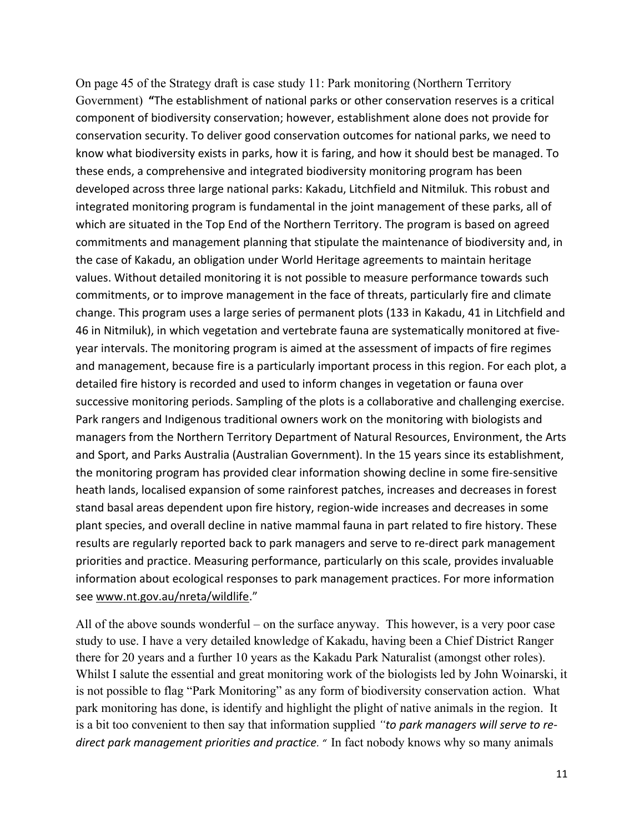$64$  - % % D 8<br>, ( \$ #\$\$ #\$ ) \$\$\$  $\mathcal{S}$ 64  $\frac{0}{0}$  $\begin{array}{ccccccccc}\n\text{\$} & & & & & \text{\$} & & & \text{\$} & & \text{\$} & \text{\$} & \text{\$} & \text{\$} & \text{\$} & \text{\$} & \text{\$} & \text{\$} & \text{\$} & \text{\$} & \text{\$} & \text{\$} & \text{\$} & \text{\$} & \text{\$} & \text{\$} & \text{\$} & \text{\$} & \text{\$} & \text{\$} & \text{\$} & \text{\$} & \text{\$} & \text{\$} & \text{\$} & \text{\$} & \text{\$} & \text{\$} & \text{\$} & \text{\$} & \text{\$}$  $85$   $*5$   $+5$   $5#$   $55$   $5$  $\mathfrak{S}$  $$S$  $\mathfrak{S}$ & \$(\$\$# \$ \$ \$\$ #)\$+\$\$\$\$<br>&\$, \$\$\$ )**+\$**\$\$\$\$\$\$\$\$(\$  $\mathcal{S}$  $\mathsf{\$}$  $\mathcal{L}$  $\frac{1}{2}$  $\begin{array}{ccccccccc}\n\text{\$} & & & & \text{\$} & & & \text{\$} & & \text{\$} & & \text{\$} & & \text{\$} & \text{\$} & \text{\$} & \text{\$} & \text{\$} & \text{\$} & \text{\$} & \text{\$} & \text{\$} & \text{\$} & \text{\$} & \text{\$} & \text{\$} & \text{\$} & \text{\$} & \text{\$} & \text{\$} & \text{\$} & \text{\$} & \text{\$} & \text{\$} & \text{\$} & \text{\$} & \text{\$} & \text{\$} & \text{\$} & \text{\$} & \text{\$} & \text{\$$  $\frac{1}{2}$  \$  $\mathfrak{L}$  $\frac{1}{2}$  $$S$  $\mathsf{\$}$  $$H()$  \$  $$5$  $#$  $\frac{1}{2}$  $\mathcal{S}$  $$ $ $ $$  $$$   $+$$  #\$#  $\begin{array}{cccccccccccccccccc} \mathfrak{F} & \mathfrak{F} & \mathfrak{F} & \mathfrak{F} & \mathfrak{F} & \mathfrak{F} & \mathfrak{F} & \mathfrak{F} & \mathfrak{F} & \mathfrak{F} & \mathfrak{F} & \mathfrak{F} & \mathfrak{F} & \mathfrak{F} & \mathfrak{F} & \mathfrak{F} & \mathfrak{F} & \mathfrak{F} & \mathfrak{F} & \mathfrak{F} & \mathfrak{F} & \mathfrak{F} & \mathfrak{F} & \mathfrak{F} & \mathfrak{F} & \mathfrak{F} & \$  $\mathfrak{S}$  $\mathcal{L}$ \$\$&\$  $$5 \quad $-$)$ \$ #+ \$\$2 #\$3  $\frac{1}{2}$  $\begin{array}{ccccccccccccccccccccc} \# & & \mathfrak{F}\,2 & & \mathfrak{F} & & \# & \mathfrak{F}\,35 & \mathfrak{F} & & \mathfrak{F} & & \mathfrak{F} & & \mathfrak{F} & & \mathfrak{F} & & \mathfrak{F} & & \mathfrak{F} & & \mathfrak{F} & & \mathfrak{F} & & \mathfrak{F} & & \mathfrak{F} & & \mathfrak{F} & & \mathfrak{F} & & \mathfrak{F} & & \mathfrak{F} & & \mathfrak{F} & & \mathfrak{F} & & \mathfrak{F} & & \mathfrak{F} &$ \$#\$\$\$-)\$+\$\$.<br>\$\$\$##&\$\$\$  $($ \$\$\$\$#\$\$\$  $$#$  \$  $$ /$   $\#$$ ) 5 + \$\$ \$ \$  $\mathbb{S}$  $S'$  $\mathcal{S}$  $\mathbb{S}$  $+$  \$ \$ \$  $\begin{array}{cccccccccccccc} \mathfrak{F} & \mathfrak{F} & & \mathfrak{F} & & \mathfrak{F} & & \mathfrak{F} & & \mathfrak{F} & & \mathfrak{F} & & \mathfrak{F} & & \mathfrak{F} & & \mathfrak{F} & & \mathfrak{F} & & \mathfrak{F} & & \mathfrak{F} & & \mathfrak{F} & & \mathfrak{F} & & \mathfrak{F} & & \mathfrak{F} & & \mathfrak{F} & & \mathfrak{F} & & \mathfrak{F} & & \mathfrak{F} & & \mathfrak{F} & & \mathfrak{F} & & \mathfrak$  $\frac{1}{2}$  $$555$  $$ # + $$  $\mathfrak{L}$  $$885$55$  $\text{\$ }$  \$ \$  $#$  $\begin{array}{ccc}\n\text{\$} & \text{\$} & \text{\$} & \text{\$} & \text{\$} & \text{\$} & \text{\$} & \text{\$} & \text{\$} & \text{\$} & \text{\$} & \text{\$} & \text{\$} & \text{\$} & \text{\$} & \text{\$} & \text{\$} & \text{\$} & \text{\$} & \text{\$} & \text{\$} & \text{\$} & \text{\$} & \text{\$} & \text{\$} & \text{\$} & \text{\$} & \text{\$} & \text{\$} & \text{\$} & \text{\$} & \text{\$} & \text{\$} & \text{\$} & \text{\$} & \text$ \$  $7$  ) \$  $\mathcal{S}$  $$+ $ $$  $+$  \$7 ) \$ # \$4 # \$: \$ \$\$\$\$ \$ \$<br>\$ \$ \$ \$ \$ \$ \$ # \$\$ \$  $\begin{array}{ccccc}\n\mathfrak{P} & & \# \\
\mathfrak{P} & & \mathfrak{P}\n\end{array}$  $$!$  $+$  \$  $\frac{1}{2}$ \$  $+$ \$\$  $\frac{1}{2}$ **一卷** \$  $\mathcal{S}$  $\$\$ \$  $#$  \$ **RS**  $\mathfrak{S}$  $\boldsymbol{\mathsf{\$}}$  $\mathfrak{S}$   $\mathfrak{S}$ ;  $\frac{46}{100}$  #  $\frac{44}{100}$  +  $\frac{46}{100}$  +  $\frac{46}{100}$  +  $\frac{46}{100}$  +  $\frac{46}{100}$  +  $\frac{46}{100}$  +  $\frac{46}{100}$  $\mathcal{L}$  $#$  $# S$  $9 \text{ }$  \$ # #\$\$\$  $\mathsf{\$}$  $\mathcal{S}$  $$6\quad$  $\mathcal{S}$ \$  $\mathbb{S}$  $\overrightarrow{a}$  #



&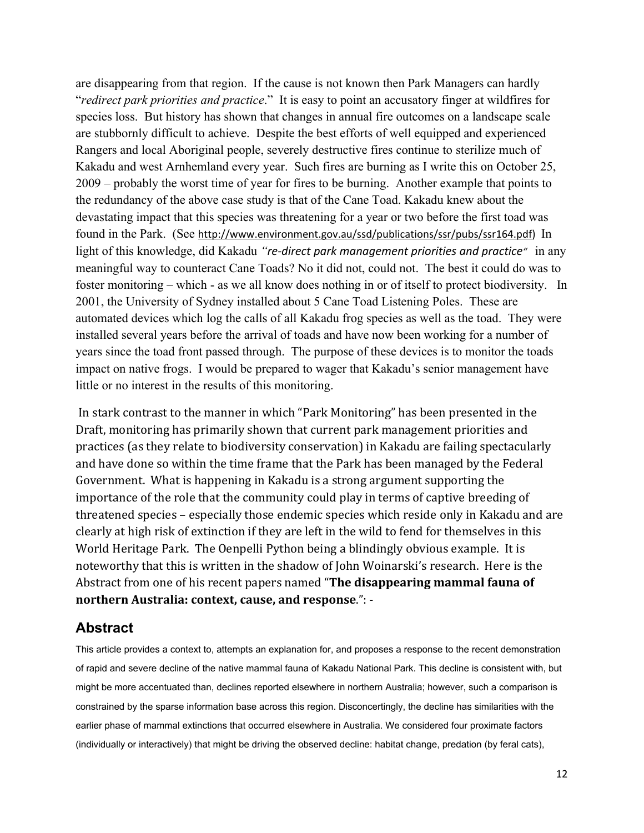





 $\#$ 

 $\ddot{\phantom{a}}$ 

 $\bar{\mathcal{E}}$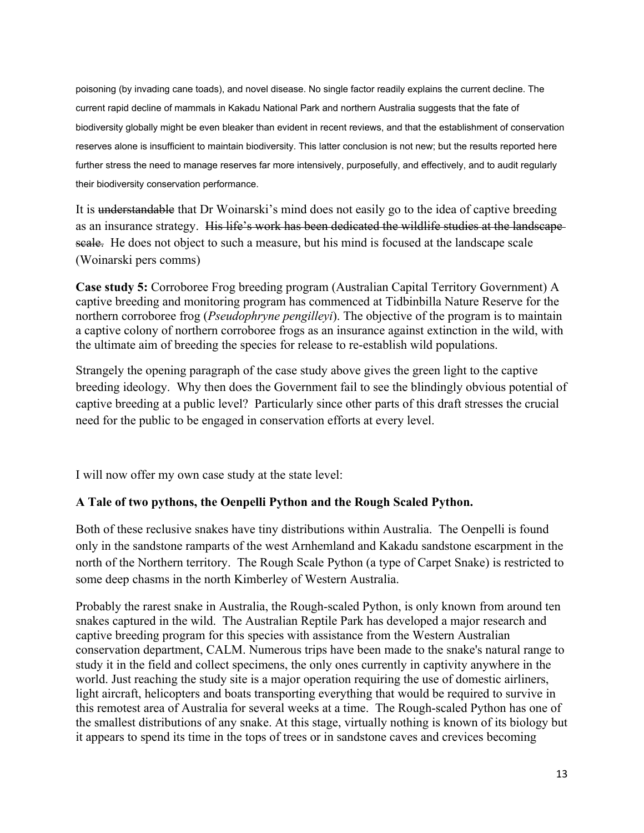poisoning (by invading cane toads), and novel disease. No single factor readily explains the current decline. The current rapid decline of mammals in Kakadu National Park and northern Australia suggests that the fate of biodiversity globally might be even bleaker than evident in recent reviews, and that the establishment of conservation reserves alone is insufficient to maintain biodiversity. This latter conclusion is not new; but the results reported here further stress the need to manage reserves far more intensively, purposefully, and effectively, and to audit regularly their biodiversity conservation performance.

It is understandable that Dr Woinarski's mind does not easily go to the idea of captive breeding as an insurance strategy. His life's work has been dedicated the wildlife studies at the landscape scale. He does not object to such a measure, but his mind is focused at the landscape scale (Woinarski pers comms)

**Case study 5:** Corroboree Frog breeding program (Australian Capital Territory Government) A captive breeding and monitoring program has commenced at Tidbinbilla Nature Reserve for the northern corroboree frog (*Pseudophryne pengilleyi*). The objective of the program is to maintain a captive colony of northern corroboree frogs as an insurance against extinction in the wild, with the ultimate aim of breeding the species for release to re-establish wild populations.

Strangely the opening paragraph of the case study above gives the green light to the captive breeding ideology. Why then does the Government fail to see the blindingly obvious potential of captive breeding at a public level? Particularly since other parts of this draft stresses the crucial need for the public to be engaged in conservation efforts at every level.

I will now offer my own case study at the state level:

# **A Tale of two pythons, the Oenpelli Python and the Rough Scaled Python.**

Both of these reclusive snakes have tiny distributions within Australia. The Oenpelli is found only in the sandstone ramparts of the west Arnhemland and Kakadu sandstone escarpment in the north of the Northern territory. The Rough Scale Python (a type of Carpet Snake) is restricted to some deep chasms in the north Kimberley of Western Australia.

Probably the rarest snake in Australia, the Rough-scaled Python, is only known from around ten snakes captured in the wild. The Australian Reptile Park has developed a major research and captive breeding program for this species with assistance from the Western Australian conservation department, CALM. Numerous trips have been made to the snake's natural range to study it in the field and collect specimens, the only ones currently in captivity anywhere in the world. Just reaching the study site is a major operation requiring the use of domestic airliners, light aircraft, helicopters and boats transporting everything that would be required to survive in this remotest area of Australia for several weeks at a time. The Rough-scaled Python has one of the smallest distributions of any snake. At this stage, virtually nothing is known of its biology but it appears to spend its time in the tops of trees or in sandstone caves and crevices becoming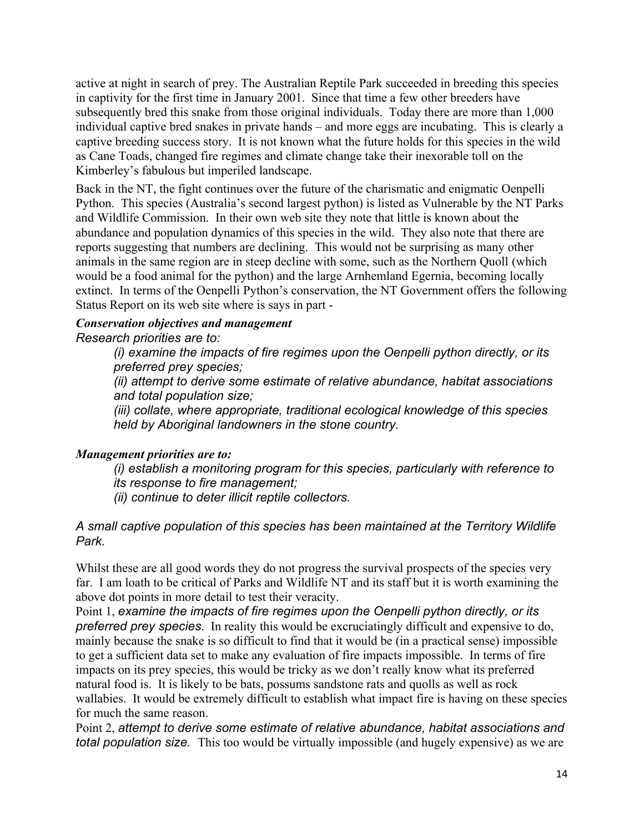active at night in search of prey. The Australian Reptile Park succeeded in breeding this species in captivity for the first time in January 2001. Since that time a few other breeders have subsequently bred this snake from those original individuals. Today there are more than 1,000 individual captive bred snakes in private hands – and more eggs are incubating. This is clearly a captive breeding success story. It is not known what the future holds for this species in the wild as Cane Toads, changed fire regimes and climate change take their inexorable toll on the Kimberley's fabulous but imperiled landscape.

Back in the NT, the fight continues over the future of the charismatic and enigmatic Oenpelli Python. This species (Australia's second largest python) is listed as Vulnerable by the NT Parks and Wildlife Commission. In their own web site they note that little is known about the abundance and population dynamics of this species in the wild. They also note that there are reports suggesting that numbers are declining. This would not be surprising as many other animals in the same region are in steep decline with some, such as the Northern Quoll (which would be a food animal for the python) and the large Arnhemland Egernia, becoming locally extinct. In terms of the Oenpelli Python's conservation, the NT Government offers the following Status Report on its web site where is says in part -

#### *Conservation objectives and management Research priorities are to:*

*(i) examine the impacts of fire regimes upon the Oenpelli python directly, or its preferred prey species;*

*(ii) attempt to derive some estimate of relative abundance, habitat associations and total population size;*

*(iii) collate, where appropriate, traditional ecological knowledge of this species held by Aboriginal landowners in the stone country.*

# *Management priorities are to:*

*(i) establish a monitoring program for this species, particularly with reference to its response to fire management;*

*(ii) continue to deter illicit reptile collectors.*

# *A small captive population of this species has been maintained at the Territory Wildlife Park.*

Whilst these are all good words they do not progress the survival prospects of the species very far. I am loath to be critical of Parks and Wildlife NT and its staff but it is worth examining the above dot points in more detail to test their veracity.

Point 1, *examine the impacts of fire regimes upon the Oenpelli python directly, or its preferred prey species*. In reality this would be excruciatingly difficult and expensive to do, mainly because the snake is so difficult to find that it would be (in a practical sense) impossible to get a sufficient data set to make any evaluation of fire impacts impossible. In terms of fire impacts on its prey species, this would be tricky as we don't really know what its preferred natural food is. It is likely to be bats, possums sandstone rats and quolls as well as rock wallabies. It would be extremely difficult to establish what impact fire is having on these species for much the same reason.

Point 2, *attempt to derive some estimate of relative abundance, habitat associations and total population size.* This too would be virtually impossible (and hugely expensive) as we are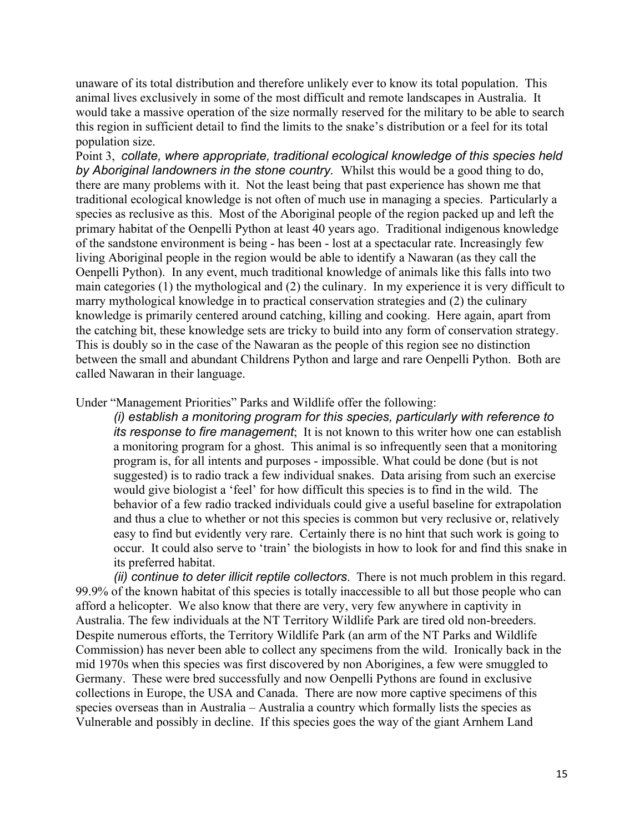unaware of its total distribution and therefore unlikely ever to know its total population. This animal lives exclusively in some of the most difficult and remote landscapes in Australia. It would take a massive operation of the size normally reserved for the military to be able to search this region in sufficient detail to find the limits to the snake's distribution or a feel for its total population size.

Point 3, *collate, where appropriate, traditional ecological knowledge of this species held by Aboriginal landowners in the stone country.* Whilst this would be a good thing to do, there are many problems with it. Not the least being that past experience has shown me that traditional ecological knowledge is not often of much use in managing a species. Particularly a species as reclusive as this. Most of the Aboriginal people of the region packed up and left the primary habitat of the Oenpelli Python at least 40 years ago. Traditional indigenous knowledge of the sandstone environment is being - has been - lost at a spectacular rate. Increasingly few living Aboriginal people in the region would be able to identify a Nawaran (as they call the Oenpelli Python). In any event, much traditional knowledge of animals like this falls into two main categories (1) the mythological and (2) the culinary. In my experience it is very difficult to marry mythological knowledge in to practical conservation strategies and (2) the culinary knowledge is primarily centered around catching, killing and cooking. Here again, apart from the catching bit, these knowledge sets are tricky to build into any form of conservation strategy. This is doubly so in the case of the Nawaran as the people of this region see no distinction between the small and abundant Childrens Python and large and rare Oenpelli Python. Both are called Nawaran in their language.

#### Under "Management Priorities" Parks and Wildlife offer the following:

*(i) establish a monitoring program for this species, particularly with reference to its response to fire management*; It is not known to this writer how one can establish a monitoring program for a ghost. This animal is so infrequently seen that a monitoring program is, for all intents and purposes - impossible. What could be done (but is not suggested) is to radio track a few individual snakes. Data arising from such an exercise would give biologist a 'feel' for how difficult this species is to find in the wild. The behavior of a few radio tracked individuals could give a useful baseline for extrapolation and thus a clue to whether or not this species is common but very reclusive or, relatively easy to find but evidently very rare. Certainly there is no hint that such work is going to occur. It could also serve to 'train' the biologists in how to look for and find this snake in its preferred habitat.

*(ii) continue to deter illicit reptile collectors*. There is not much problem in this regard. 99.9% of the known habitat of this species is totally inaccessible to all but those people who can afford a helicopter. We also know that there are very, very few anywhere in captivity in Australia. The few individuals at the NT Territory Wildlife Park are tired old non-breeders. Despite numerous efforts, the Territory Wildlife Park (an arm of the NT Parks and Wildlife Commission) has never been able to collect any specimens from the wild. Ironically back in the mid 1970s when this species was first discovered by non Aborigines, a few were smuggled to Germany. These were bred successfully and now Oenpelli Pythons are found in exclusive collections in Europe, the USA and Canada. There are now more captive specimens of this species overseas than in Australia – Australia a country which formally lists the species as Vulnerable and possibly in decline. If this species goes the way of the giant Arnhem Land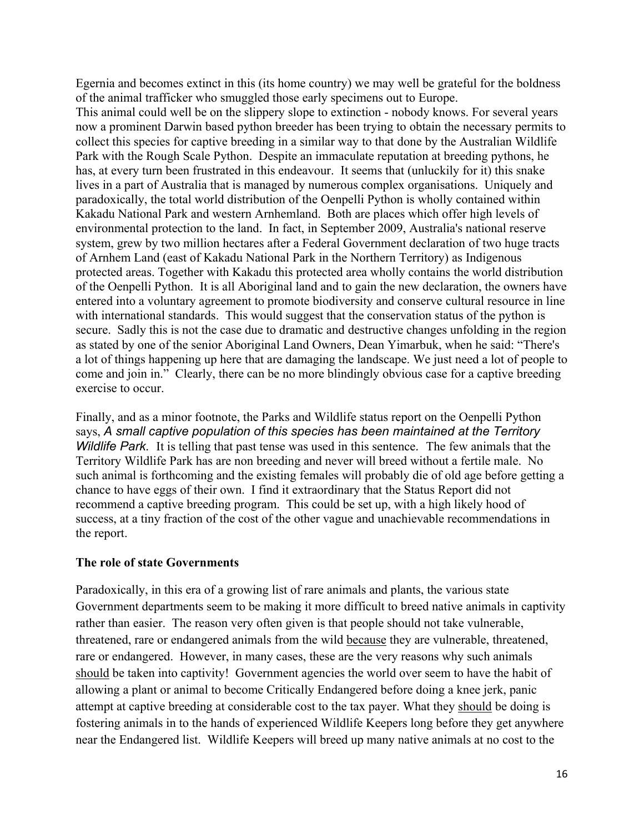Egernia and becomes extinct in this (its home country) we may well be grateful for the boldness of the animal trafficker who smuggled those early specimens out to Europe.

This animal could well be on the slippery slope to extinction - nobody knows. For several years now a prominent Darwin based python breeder has been trying to obtain the necessary permits to collect this species for captive breeding in a similar way to that done by the Australian Wildlife Park with the Rough Scale Python. Despite an immaculate reputation at breeding pythons, he has, at every turn been frustrated in this endeavour. It seems that (unluckily for it) this snake lives in a part of Australia that is managed by numerous complex organisations. Uniquely and paradoxically, the total world distribution of the Oenpelli Python is wholly contained within Kakadu National Park and western Arnhemland. Both are places which offer high levels of environmental protection to the land. In fact, in September 2009, Australia's national reserve system, grew by two million hectares after a Federal Government declaration of two huge tracts of Arnhem Land (east of Kakadu National Park in the Northern Territory) as Indigenous protected areas. Together with Kakadu this protected area wholly contains the world distribution of the Oenpelli Python. It is all Aboriginal land and to gain the new declaration, the owners have entered into a voluntary agreement to promote biodiversity and conserve cultural resource in line with international standards. This would suggest that the conservation status of the python is secure. Sadly this is not the case due to dramatic and destructive changes unfolding in the region as stated by one of the senior Aboriginal Land Owners, Dean Yimarbuk, when he said: "There's a lot of things happening up here that are damaging the landscape. We just need a lot of people to come and join in." Clearly, there can be no more blindingly obvious case for a captive breeding exercise to occur.

Finally, and as a minor footnote, the Parks and Wildlife status report on the Oenpelli Python says, *A small captive population of this species has been maintained at the Territory Wildlife Park.* It is telling that past tense was used in this sentence*.* The few animals that the Territory Wildlife Park has are non breeding and never will breed without a fertile male. No such animal is forthcoming and the existing females will probably die of old age before getting a chance to have eggs of their own. I find it extraordinary that the Status Report did not recommend a captive breeding program. This could be set up, with a high likely hood of success, at a tiny fraction of the cost of the other vague and unachievable recommendations in the report.

# **The role of state Governments**

Paradoxically, in this era of a growing list of rare animals and plants, the various state Government departments seem to be making it more difficult to breed native animals in captivity rather than easier. The reason very often given is that people should not take vulnerable, threatened, rare or endangered animals from the wild because they are vulnerable, threatened, rare or endangered. However, in many cases, these are the very reasons why such animals should be taken into captivity! Government agencies the world over seem to have the habit of allowing a plant or animal to become Critically Endangered before doing a knee jerk, panic attempt at captive breeding at considerable cost to the tax payer. What they should be doing is fostering animals in to the hands of experienced Wildlife Keepers long before they get anywhere near the Endangered list. Wildlife Keepers will breed up many native animals at no cost to the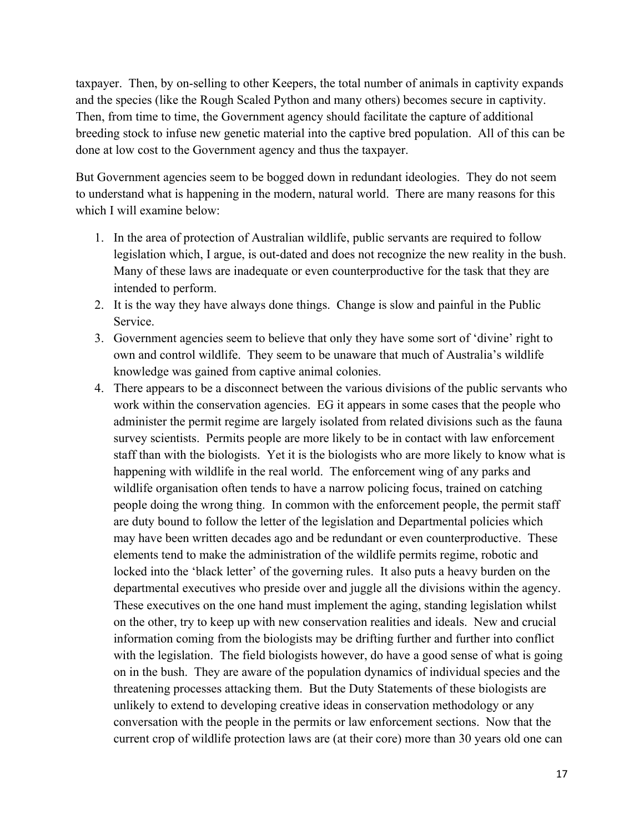taxpayer. Then, by on-selling to other Keepers, the total number of animals in captivity expands and the species (like the Rough Scaled Python and many others) becomes secure in captivity. Then, from time to time, the Government agency should facilitate the capture of additional breeding stock to infuse new genetic material into the captive bred population. All of this can be done at low cost to the Government agency and thus the taxpayer.

But Government agencies seem to be bogged down in redundant ideologies. They do not seem to understand what is happening in the modern, natural world. There are many reasons for this which I will examine below:

- 1. In the area of protection of Australian wildlife, public servants are required to follow legislation which, I argue, is out-dated and does not recognize the new reality in the bush. Many of these laws are inadequate or even counterproductive for the task that they are intended to perform.
- 2. It is the way they have always done things. Change is slow and painful in the Public Service.
- 3. Government agencies seem to believe that only they have some sort of 'divine' right to own and control wildlife. They seem to be unaware that much of Australia's wildlife knowledge was gained from captive animal colonies.
- 4. There appears to be a disconnect between the various divisions of the public servants who work within the conservation agencies. EG it appears in some cases that the people who administer the permit regime are largely isolated from related divisions such as the fauna survey scientists. Permits people are more likely to be in contact with law enforcement staff than with the biologists. Yet it is the biologists who are more likely to know what is happening with wildlife in the real world. The enforcement wing of any parks and wildlife organisation often tends to have a narrow policing focus, trained on catching people doing the wrong thing. In common with the enforcement people, the permit staff are duty bound to follow the letter of the legislation and Departmental policies which may have been written decades ago and be redundant or even counterproductive. These elements tend to make the administration of the wildlife permits regime, robotic and locked into the 'black letter' of the governing rules. It also puts a heavy burden on the departmental executives who preside over and juggle all the divisions within the agency. These executives on the one hand must implement the aging, standing legislation whilst on the other, try to keep up with new conservation realities and ideals. New and crucial information coming from the biologists may be drifting further and further into conflict with the legislation. The field biologists however, do have a good sense of what is going on in the bush. They are aware of the population dynamics of individual species and the threatening processes attacking them. But the Duty Statements of these biologists are unlikely to extend to developing creative ideas in conservation methodology or any conversation with the people in the permits or law enforcement sections. Now that the current crop of wildlife protection laws are (at their core) more than 30 years old one can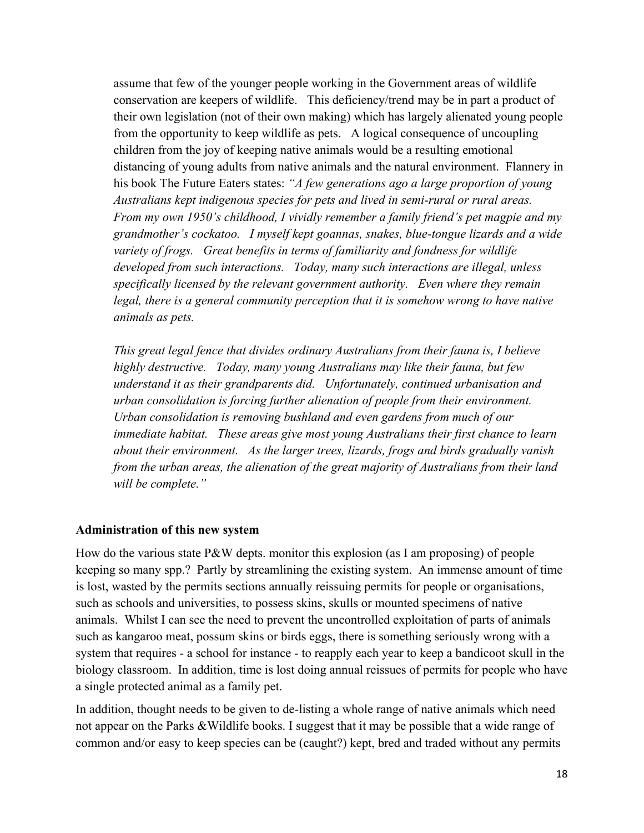assume that few of the younger people working in the Government areas of wildlife conservation are keepers of wildlife. This deficiency/trend may be in part a product of their own legislation (not of their own making) which has largely alienated young people from the opportunity to keep wildlife as pets. A logical consequence of uncoupling children from the joy of keeping native animals would be a resulting emotional distancing of young adults from native animals and the natural environment. Flannery in his book The Future Eaters states: *"A few generations ago a large proportion of young Australians kept indigenous species for pets and lived in semi-rural or rural areas. From my own 1950's childhood, I vividly remember a family friend's pet magpie and my grandmother's cockatoo. I myself kept goannas, snakes, blue-tongue lizards and a wide variety of frogs. Great benefits in terms of familiarity and fondness for wildlife developed from such interactions. Today, many such interactions are illegal, unless specifically licensed by the relevant government authority. Even where they remain legal, there is a general community perception that it is somehow wrong to have native animals as pets.*

*This great legal fence that divides ordinary Australians from their fauna is, I believe highly destructive. Today, many young Australians may like their fauna, but few understand it as their grandparents did. Unfortunately, continued urbanisation and urban consolidation is forcing further alienation of people from their environment. Urban consolidation is removing bushland and even gardens from much of our immediate habitat. These areas give most young Australians their first chance to learn about their environment. As the larger trees, lizards, frogs and birds gradually vanish from the urban areas, the alienation of the great majority of Australians from their land will be complete."*

#### **Administration of this new system**

How do the various state P&W depts. monitor this explosion (as I am proposing) of people keeping so many spp.? Partly by streamlining the existing system. An immense amount of time is lost, wasted by the permits sections annually reissuing permits for people or organisations, such as schools and universities, to possess skins, skulls or mounted specimens of native animals. Whilst I can see the need to prevent the uncontrolled exploitation of parts of animals such as kangaroo meat, possum skins or birds eggs, there is something seriously wrong with a system that requires - a school for instance - to reapply each year to keep a bandicoot skull in the biology classroom. In addition, time is lost doing annual reissues of permits for people who have a single protected animal as a family pet.

In addition, thought needs to be given to de-listing a whole range of native animals which need not appear on the Parks &Wildlife books. I suggest that it may be possible that a wide range of common and/or easy to keep species can be (caught?) kept, bred and traded without any permits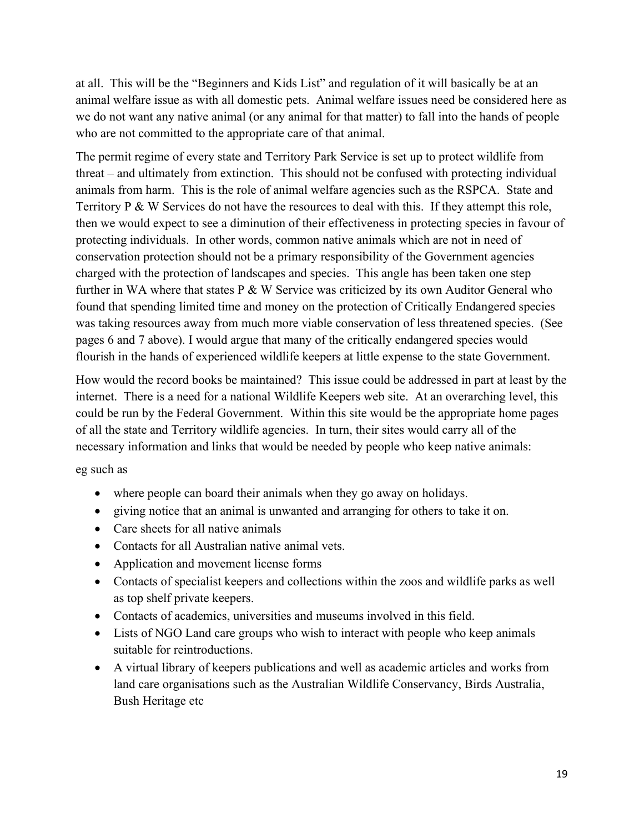at all. This will be the "Beginners and Kids List" and regulation of it will basically be at an animal welfare issue as with all domestic pets. Animal welfare issues need be considered here as we do not want any native animal (or any animal for that matter) to fall into the hands of people who are not committed to the appropriate care of that animal.

The permit regime of every state and Territory Park Service is set up to protect wildlife from threat – and ultimately from extinction. This should not be confused with protecting individual animals from harm. This is the role of animal welfare agencies such as the RSPCA. State and Territory P & W Services do not have the resources to deal with this. If they attempt this role, then we would expect to see a diminution of their effectiveness in protecting species in favour of protecting individuals. In other words, common native animals which are not in need of conservation protection should not be a primary responsibility of the Government agencies charged with the protection of landscapes and species. This angle has been taken one step further in WA where that states P & W Service was criticized by its own Auditor General who found that spending limited time and money on the protection of Critically Endangered species was taking resources away from much more viable conservation of less threatened species. (See pages 6 and 7 above). I would argue that many of the critically endangered species would flourish in the hands of experienced wildlife keepers at little expense to the state Government.

How would the record books be maintained? This issue could be addressed in part at least by the internet. There is a need for a national Wildlife Keepers web site. At an overarching level, this could be run by the Federal Government. Within this site would be the appropriate home pages of all the state and Territory wildlife agencies. In turn, their sites would carry all of the necessary information and links that would be needed by people who keep native animals:

eg such as

- where people can board their animals when they go away on holidays.
- giving notice that an animal is unwanted and arranging for others to take it on.
- Care sheets for all native animals
- Contacts for all Australian native animal vets.
- Application and movement license forms
- Contacts of specialist keepers and collections within the zoos and wildlife parks as well as top shelf private keepers.
- Contacts of academics, universities and museums involved in this field.
- Lists of NGO Land care groups who wish to interact with people who keep animals suitable for reintroductions.
- A virtual library of keepers publications and well as academic articles and works from land care organisations such as the Australian Wildlife Conservancy, Birds Australia, Bush Heritage etc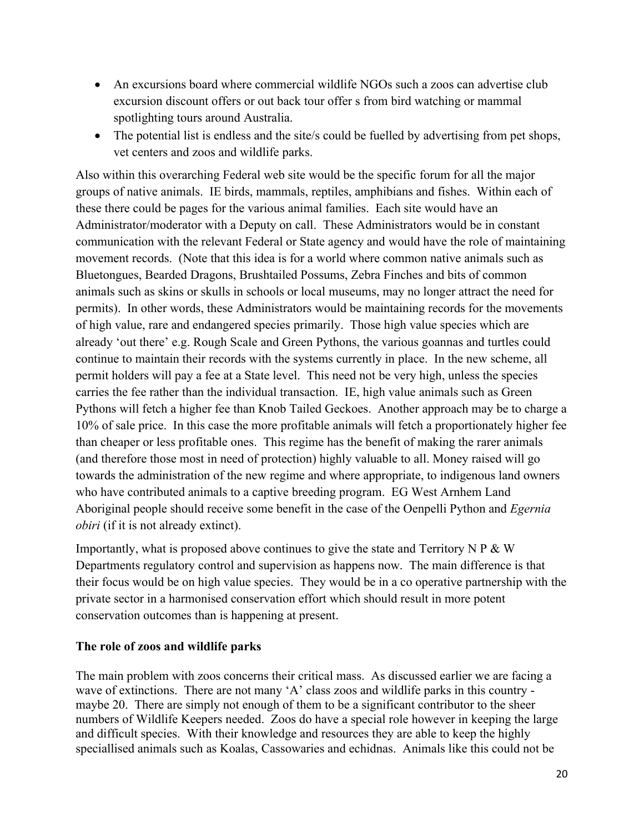- An excursions board where commercial wildlife NGOs such a zoos can advertise club excursion discount offers or out back tour offer s from bird watching or mammal spotlighting tours around Australia.
- The potential list is endless and the site/s could be fuelled by advertising from pet shops, vet centers and zoos and wildlife parks.

Also within this overarching Federal web site would be the specific forum for all the major groups of native animals. IE birds, mammals, reptiles, amphibians and fishes. Within each of these there could be pages for the various animal families. Each site would have an Administrator/moderator with a Deputy on call. These Administrators would be in constant communication with the relevant Federal or State agency and would have the role of maintaining movement records. (Note that this idea is for a world where common native animals such as Bluetongues, Bearded Dragons, Brushtailed Possums, Zebra Finches and bits of common animals such as skins or skulls in schools or local museums, may no longer attract the need for permits). In other words, these Administrators would be maintaining records for the movements of high value, rare and endangered species primarily. Those high value species which are already 'out there' e.g. Rough Scale and Green Pythons, the various goannas and turtles could continue to maintain their records with the systems currently in place. In the new scheme, all permit holders will pay a fee at a State level. This need not be very high, unless the species carries the fee rather than the individual transaction. IE, high value animals such as Green Pythons will fetch a higher fee than Knob Tailed Geckoes. Another approach may be to charge a 10% of sale price. In this case the more profitable animals will fetch a proportionately higher fee than cheaper or less profitable ones. This regime has the benefit of making the rarer animals (and therefore those most in need of protection) highly valuable to all. Money raised will go towards the administration of the new regime and where appropriate, to indigenous land owners who have contributed animals to a captive breeding program. EG West Arnhem Land Aboriginal people should receive some benefit in the case of the Oenpelli Python and *Egernia obiri* (if it is not already extinct).

Importantly, what is proposed above continues to give the state and Territory N  $P \& W$ Departments regulatory control and supervision as happens now. The main difference is that their focus would be on high value species. They would be in a co operative partnership with the private sector in a harmonised conservation effort which should result in more potent conservation outcomes than is happening at present.

# **The role of zoos and wildlife parks**

The main problem with zoos concerns their critical mass. As discussed earlier we are facing a wave of extinctions. There are not many 'A' class zoos and wildlife parks in this country maybe 20. There are simply not enough of them to be a significant contributor to the sheer numbers of Wildlife Keepers needed. Zoos do have a special role however in keeping the large and difficult species. With their knowledge and resources they are able to keep the highly speciallised animals such as Koalas, Cassowaries and echidnas. Animals like this could not be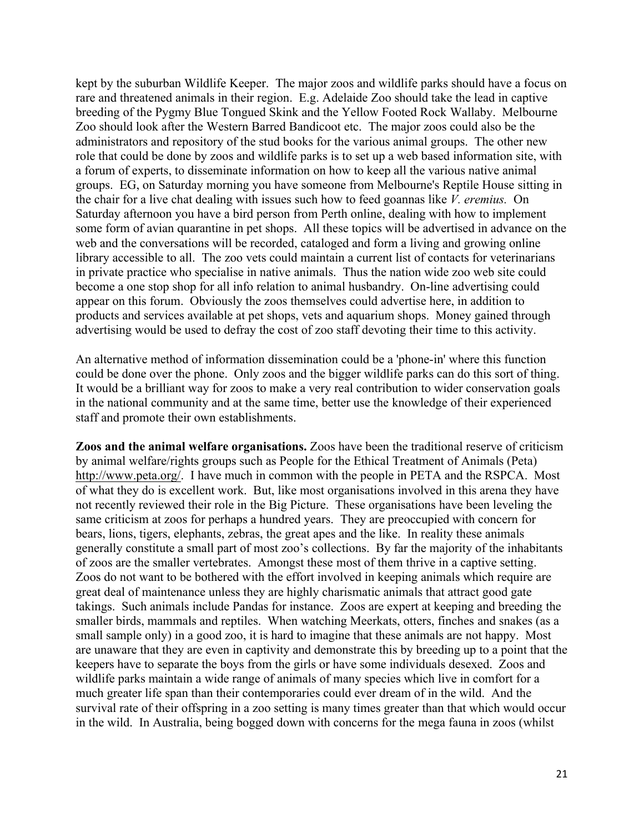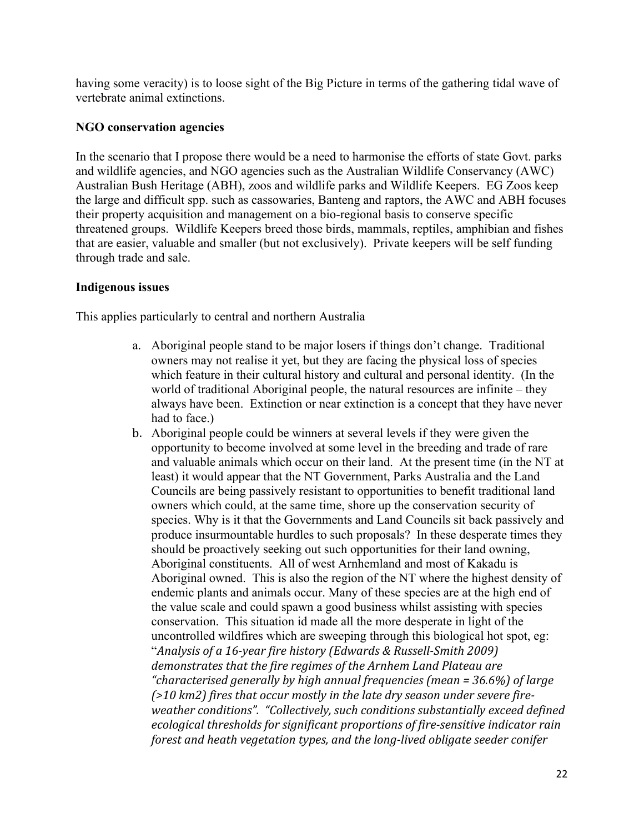having some veracity) is to loose sight of the Big Picture in terms of the gathering tidal wave of vertebrate animal extinctions.

#### **NGO conservation agencies**

In the scenario that I propose there would be a need to harmonise the efforts of state Govt. parks and wildlife agencies, and NGO agencies such as the Australian Wildlife Conservancy (AWC) Australian Bush Heritage (ABH), zoos and wildlife parks and Wildlife Keepers. EG Zoos keep the large and difficult spp. such as cassowaries, Banteng and raptors, the AWC and ABH focuses their property acquisition and management on a bio-regional basis to conserve specific threatened groups. Wildlife Keepers breed those birds, mammals, reptiles, amphibian and fishes that are easier, valuable and smaller (but not exclusively). Private keepers will be self funding through trade and sale.

#### **Indigenous issues**

This applies particularly to central and northern Australia

- a. Aboriginal people stand to be major losers if things don't change. Traditional owners may not realise it yet, but they are facing the physical loss of species which feature in their cultural history and cultural and personal identity. (In the world of traditional Aboriginal people, the natural resources are infinite – they always have been. Extinction or near extinction is a concept that they have never had to face.)
- b. Aboriginal people could be winners at several levels if they were given the opportunity to become involved at some level in the breeding and trade of rare and valuable animals which occur on their land. At the present time (in the NT at least) it would appear that the NT Government, Parks Australia and the Land Councils are being passively resistant to opportunities to benefit traditional land owners which could, at the same time, shore up the conservation security of species. Why is it that the Governments and Land Councils sit back passively and produce insurmountable hurdles to such proposals? In these desperate times they should be proactively seeking out such opportunities for their land owning, Aboriginal constituents. All of west Arnhemland and most of Kakadu is Aboriginal owned. This is also the region of the NT where the highest density of endemic plants and animals occur. Many of these species are at the high end of the value scale and could spawn a good business whilst assisting with species conservation. This situation id made all the more desperate in light of the uncontrolled wildfires which are sweeping through this biological hot spot, eg: "*Analysis of a 16-year fire history (Edwards & Russell-Smith 2009) demonstrates that the fire regimes of the Arnhem Land Plateau are "characterised generally by high annual frequencies (mean = 36.6%) of large (>10 km2) fires that occur mostly in the late dry season under severe fireweather conditions". "Collectively, such conditions substantially exceed defined ecological thresholds for significant proportions of fire-sensitive indicator rain forest and heath vegetation types, and the long-lived obligate seeder conifer*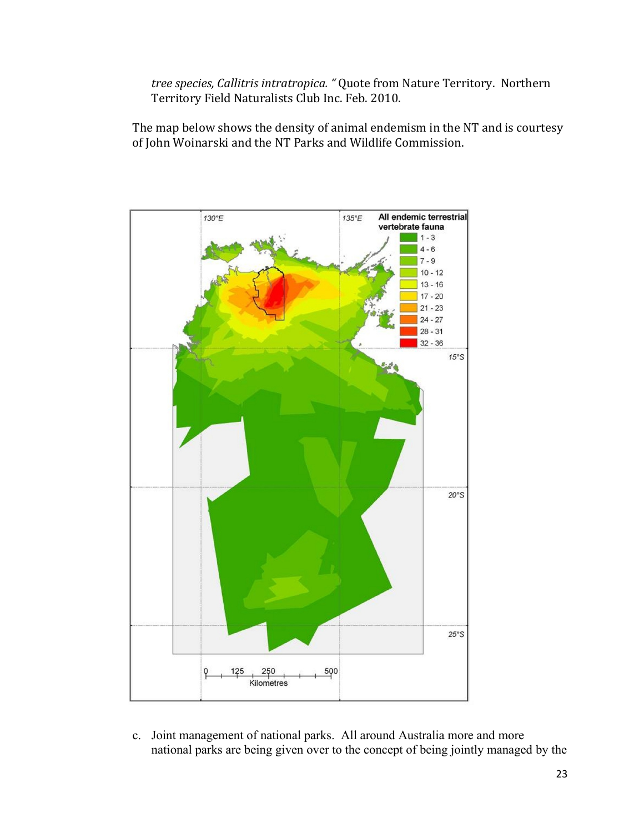*tree species, Callitris intratropica. "* Quote from Nature Territory. Northern Territory Field Naturalists Club Inc. Feb. 2010.

The map below shows the density of animal endemism in the NT and is courtesy of John Woinarski and the NT Parks and Wildlife Commission.



c. Joint management of national parks. All around Australia more and more national parks are being given over to the concept of being jointly managed by the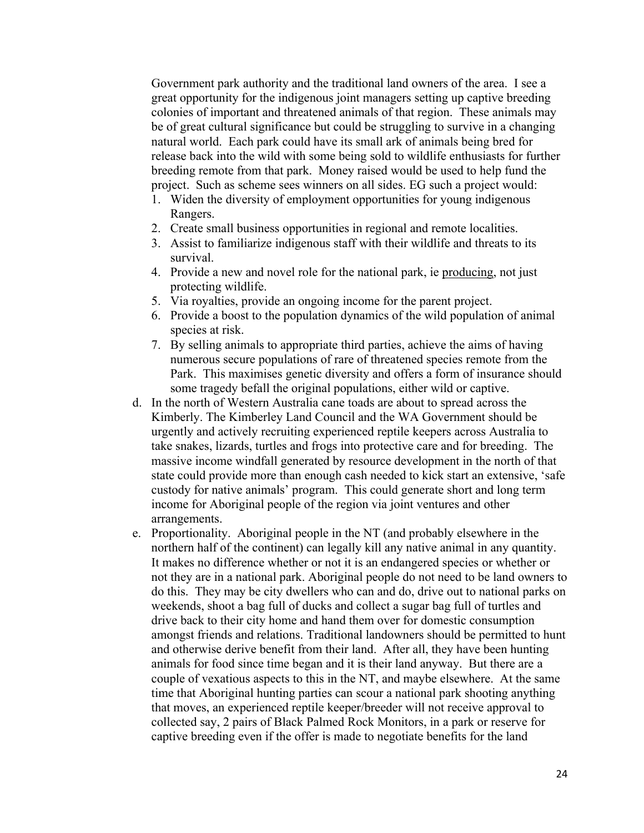Government park authority and the traditional land owners of the area. I see a great opportunity for the indigenous joint managers setting up captive breeding colonies of important and threatened animals of that region. These animals may be of great cultural significance but could be struggling to survive in a changing natural world. Each park could have its small ark of animals being bred for release back into the wild with some being sold to wildlife enthusiasts for further breeding remote from that park. Money raised would be used to help fund the project. Such as scheme sees winners on all sides. EG such a project would:

- 1. Widen the diversity of employment opportunities for young indigenous Rangers.
- 2. Create small business opportunities in regional and remote localities.
- 3. Assist to familiarize indigenous staff with their wildlife and threats to its survival.
- 4. Provide a new and novel role for the national park, ie producing, not just protecting wildlife.
- 5. Via royalties, provide an ongoing income for the parent project.
- 6. Provide a boost to the population dynamics of the wild population of animal species at risk.
- 7. By selling animals to appropriate third parties, achieve the aims of having numerous secure populations of rare of threatened species remote from the Park. This maximises genetic diversity and offers a form of insurance should some tragedy befall the original populations, either wild or captive.
- d. In the north of Western Australia cane toads are about to spread across the Kimberly. The Kimberley Land Council and the WA Government should be urgently and actively recruiting experienced reptile keepers across Australia to take snakes, lizards, turtles and frogs into protective care and for breeding. The massive income windfall generated by resource development in the north of that state could provide more than enough cash needed to kick start an extensive, 'safe custody for native animals' program. This could generate short and long term income for Aboriginal people of the region via joint ventures and other arrangements.
- e. Proportionality. Aboriginal people in the NT (and probably elsewhere in the northern half of the continent) can legally kill any native animal in any quantity. It makes no difference whether or not it is an endangered species or whether or not they are in a national park. Aboriginal people do not need to be land owners to do this. They may be city dwellers who can and do, drive out to national parks on weekends, shoot a bag full of ducks and collect a sugar bag full of turtles and drive back to their city home and hand them over for domestic consumption amongst friends and relations. Traditional landowners should be permitted to hunt and otherwise derive benefit from their land. After all, they have been hunting animals for food since time began and it is their land anyway. But there are a couple of vexatious aspects to this in the NT, and maybe elsewhere. At the same time that Aboriginal hunting parties can scour a national park shooting anything that moves, an experienced reptile keeper/breeder will not receive approval to collected say, 2 pairs of Black Palmed Rock Monitors, in a park or reserve for captive breeding even if the offer is made to negotiate benefits for the land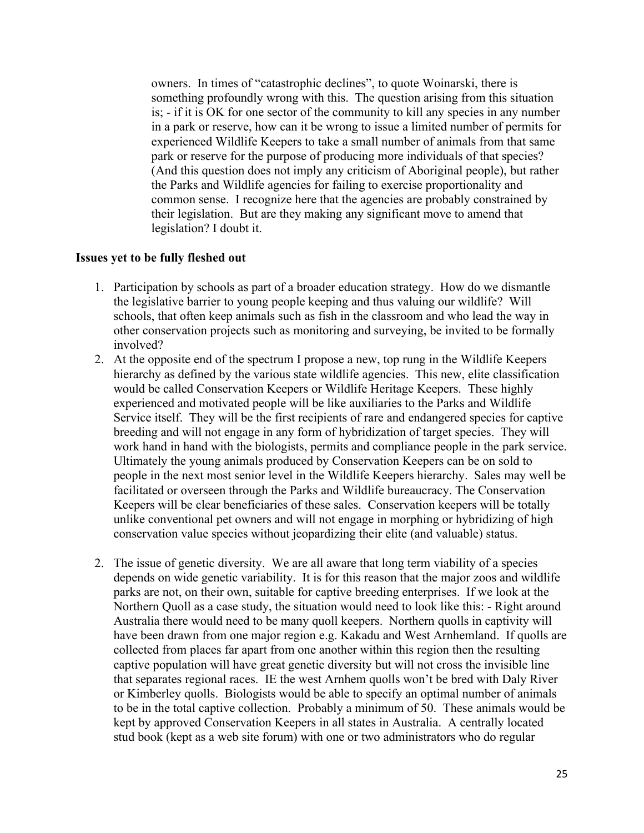owners. In times of "catastrophic declines", to quote Woinarski, there is something profoundly wrong with this. The question arising from this situation is; - if it is OK for one sector of the community to kill any species in any number in a park or reserve, how can it be wrong to issue a limited number of permits for experienced Wildlife Keepers to take a small number of animals from that same park or reserve for the purpose of producing more individuals of that species? (And this question does not imply any criticism of Aboriginal people), but rather the Parks and Wildlife agencies for failing to exercise proportionality and common sense. I recognize here that the agencies are probably constrained by their legislation. But are they making any significant move to amend that legislation? I doubt it.

#### **Issues yet to be fully fleshed out**

- 1. Participation by schools as part of a broader education strategy. How do we dismantle the legislative barrier to young people keeping and thus valuing our wildlife? Will schools, that often keep animals such as fish in the classroom and who lead the way in other conservation projects such as monitoring and surveying, be invited to be formally involved?
- 2. At the opposite end of the spectrum I propose a new, top rung in the Wildlife Keepers hierarchy as defined by the various state wildlife agencies. This new, elite classification would be called Conservation Keepers or Wildlife Heritage Keepers. These highly experienced and motivated people will be like auxiliaries to the Parks and Wildlife Service itself. They will be the first recipients of rare and endangered species for captive breeding and will not engage in any form of hybridization of target species. They will work hand in hand with the biologists, permits and compliance people in the park service. Ultimately the young animals produced by Conservation Keepers can be on sold to people in the next most senior level in the Wildlife Keepers hierarchy. Sales may well be facilitated or overseen through the Parks and Wildlife bureaucracy. The Conservation Keepers will be clear beneficiaries of these sales. Conservation keepers will be totally unlike conventional pet owners and will not engage in morphing or hybridizing of high conservation value species without jeopardizing their elite (and valuable) status.
- 2. The issue of genetic diversity. We are all aware that long term viability of a species depends on wide genetic variability. It is for this reason that the major zoos and wildlife parks are not, on their own, suitable for captive breeding enterprises. If we look at the Northern Quoll as a case study, the situation would need to look like this: - Right around Australia there would need to be many quoll keepers. Northern quolls in captivity will have been drawn from one major region e.g. Kakadu and West Arnhemland. If quolls are collected from places far apart from one another within this region then the resulting captive population will have great genetic diversity but will not cross the invisible line that separates regional races. IE the west Arnhem quolls won't be bred with Daly River or Kimberley quolls. Biologists would be able to specify an optimal number of animals to be in the total captive collection. Probably a minimum of 50. These animals would be kept by approved Conservation Keepers in all states in Australia. A centrally located stud book (kept as a web site forum) with one or two administrators who do regular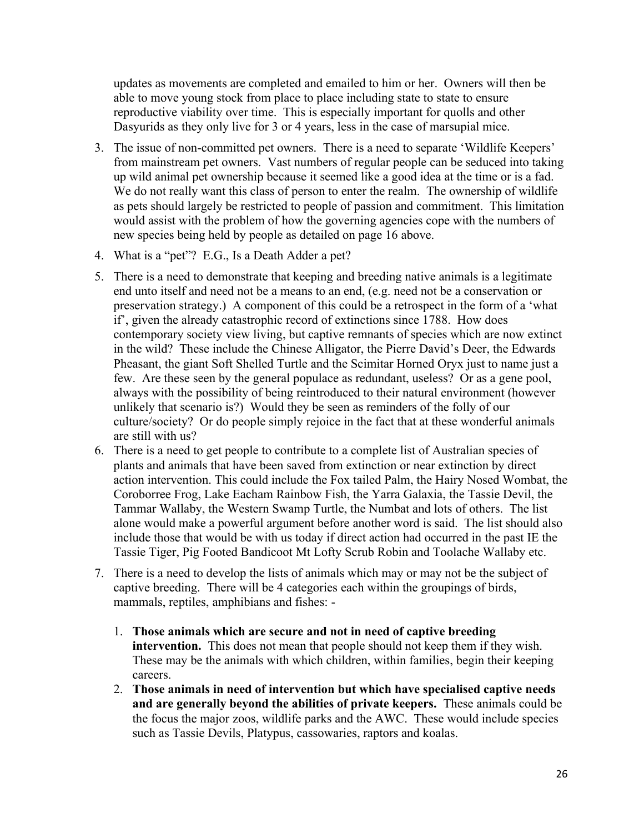updates as movements are completed and emailed to him or her. Owners will then be able to move young stock from place to place including state to state to ensure reproductive viability over time. This is especially important for quolls and other Dasyurids as they only live for 3 or 4 years, less in the case of marsupial mice.

- 3. The issue of non-committed pet owners. There is a need to separate 'Wildlife Keepers' from mainstream pet owners. Vast numbers of regular people can be seduced into taking up wild animal pet ownership because it seemed like a good idea at the time or is a fad. We do not really want this class of person to enter the realm. The ownership of wildlife as pets should largely be restricted to people of passion and commitment. This limitation would assist with the problem of how the governing agencies cope with the numbers of new species being held by people as detailed on page 16 above.
- 4. What is a "pet"? E.G., Is a Death Adder a pet?
- 5. There is a need to demonstrate that keeping and breeding native animals is a legitimate end unto itself and need not be a means to an end, (e.g. need not be a conservation or preservation strategy.) A component of this could be a retrospect in the form of a 'what if', given the already catastrophic record of extinctions since 1788. How does contemporary society view living, but captive remnants of species which are now extinct in the wild? These include the Chinese Alligator, the Pierre David's Deer, the Edwards Pheasant, the giant Soft Shelled Turtle and the Scimitar Horned Oryx just to name just a few. Are these seen by the general populace as redundant, useless? Or as a gene pool, always with the possibility of being reintroduced to their natural environment (however unlikely that scenario is?) Would they be seen as reminders of the folly of our culture/society? Or do people simply rejoice in the fact that at these wonderful animals are still with us?
- 6. There is a need to get people to contribute to a complete list of Australian species of plants and animals that have been saved from extinction or near extinction by direct action intervention. This could include the Fox tailed Palm, the Hairy Nosed Wombat, the Coroborree Frog, Lake Eacham Rainbow Fish, the Yarra Galaxia, the Tassie Devil, the Tammar Wallaby, the Western Swamp Turtle, the Numbat and lots of others. The list alone would make a powerful argument before another word is said. The list should also include those that would be with us today if direct action had occurred in the past IE the Tassie Tiger, Pig Footed Bandicoot Mt Lofty Scrub Robin and Toolache Wallaby etc.
- 7. There is a need to develop the lists of animals which may or may not be the subject of captive breeding. There will be 4 categories each within the groupings of birds, mammals, reptiles, amphibians and fishes: -
	- 1. **Those animals which are secure and not in need of captive breeding intervention.** This does not mean that people should not keep them if they wish. These may be the animals with which children, within families, begin their keeping careers.
	- 2. **Those animals in need of intervention but which have specialised captive needs and are generally beyond the abilities of private keepers.** These animals could be the focus the major zoos, wildlife parks and the AWC. These would include species such as Tassie Devils, Platypus, cassowaries, raptors and koalas.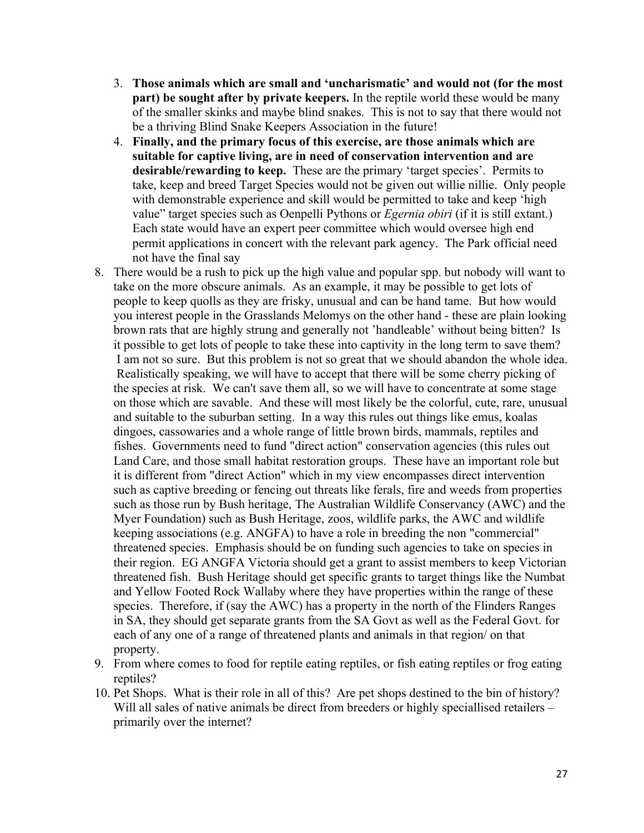- 3. **Those animals which are small and 'uncharismatic' and would not (for the most part) be sought after by private keepers.** In the reptile world these would be many of the smaller skinks and maybe blind snakes. This is not to say that there would not be a thriving Blind Snake Keepers Association in the future!
- 4. **Finally, and the primary focus of this exercise, are those animals which are suitable for captive living, are in need of conservation intervention and are desirable/rewarding to keep.** These are the primary 'target species'. Permits to take, keep and breed Target Species would not be given out willie nillie. Only people with demonstrable experience and skill would be permitted to take and keep 'high value" target species such as Oenpelli Pythons or *Egernia obiri* (if it is still extant.) Each state would have an expert peer committee which would oversee high end permit applications in concert with the relevant park agency. The Park official need not have the final say
- 8. There would be a rush to pick up the high value and popular spp. but nobody will want to take on the more obscure animals. As an example, it may be possible to get lots of people to keep quolls as they are frisky, unusual and can be hand tame. But how would you interest people in the Grasslands Melomys on the other hand - these are plain looking brown rats that are highly strung and generally not 'handleable' without being bitten? Is it possible to get lots of people to take these into captivity in the long term to save them? I am not so sure. But this problem is not so great that we should abandon the whole idea. Realistically speaking, we will have to accept that there will be some cherry picking of the species at risk. We can't save them all, so we will have to concentrate at some stage on those which are savable. And these will most likely be the colorful, cute, rare, unusual and suitable to the suburban setting. In a way this rules out things like emus, koalas dingoes, cassowaries and a whole range of little brown birds, mammals, reptiles and fishes. Governments need to fund "direct action" conservation agencies (this rules out Land Care, and those small habitat restoration groups. These have an important role but it is different from "direct Action" which in my view encompasses direct intervention such as captive breeding or fencing out threats like ferals, fire and weeds from properties such as those run by Bush heritage, The Australian Wildlife Conservancy (AWC) and the Myer Foundation) such as Bush Heritage, zoos, wildlife parks, the AWC and wildlife keeping associations (e.g. ANGFA) to have a role in breeding the non "commercial" threatened species. Emphasis should be on funding such agencies to take on species in their region. EG ANGFA Victoria should get a grant to assist members to keep Victorian threatened fish. Bush Heritage should get specific grants to target things like the Numbat and Yellow Footed Rock Wallaby where they have properties within the range of these species. Therefore, if (say the AWC) has a property in the north of the Flinders Ranges in SA, they should get separate grants from the SA Govt as well as the Federal Govt. for each of any one of a range of threatened plants and animals in that region/ on that property.
- 9. From where comes to food for reptile eating reptiles, or fish eating reptiles or frog eating reptiles?
- 10. Pet Shops. What is their role in all of this? Are pet shops destined to the bin of history? Will all sales of native animals be direct from breeders or highly speciallised retailers – primarily over the internet?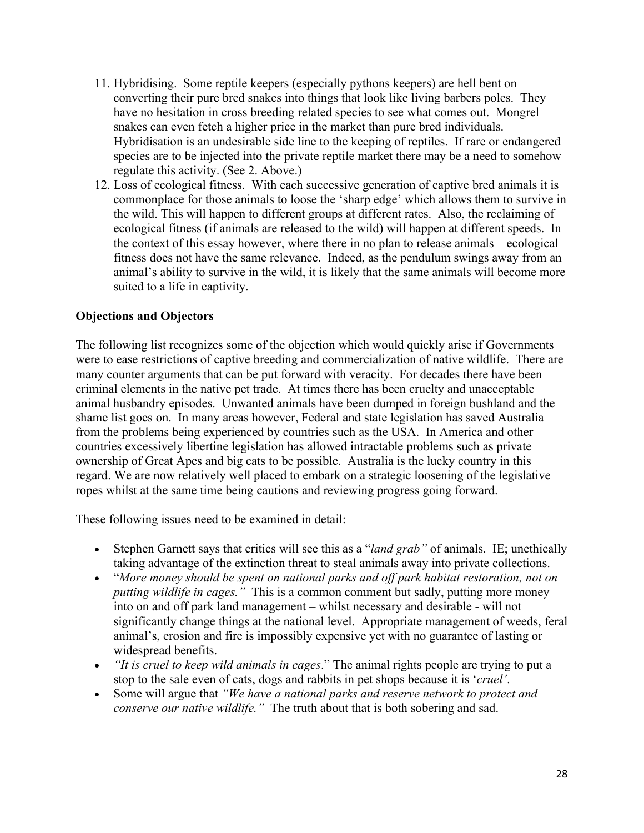- 11. Hybridising. Some reptile keepers (especially pythons keepers) are hell bent on converting their pure bred snakes into things that look like living barbers poles. They have no hesitation in cross breeding related species to see what comes out. Mongrel snakes can even fetch a higher price in the market than pure bred individuals. Hybridisation is an undesirable side line to the keeping of reptiles. If rare or endangered species are to be injected into the private reptile market there may be a need to somehow regulate this activity. (See 2. Above.)
- 12. Loss of ecological fitness. With each successive generation of captive bred animals it is commonplace for those animals to loose the 'sharp edge' which allows them to survive in the wild. This will happen to different groups at different rates. Also, the reclaiming of ecological fitness (if animals are released to the wild) will happen at different speeds. In the context of this essay however, where there in no plan to release animals – ecological fitness does not have the same relevance. Indeed, as the pendulum swings away from an animal's ability to survive in the wild, it is likely that the same animals will become more suited to a life in captivity.

# **Objections and Objectors**

The following list recognizes some of the objection which would quickly arise if Governments were to ease restrictions of captive breeding and commercialization of native wildlife. There are many counter arguments that can be put forward with veracity. For decades there have been criminal elements in the native pet trade. At times there has been cruelty and unacceptable animal husbandry episodes. Unwanted animals have been dumped in foreign bushland and the shame list goes on. In many areas however, Federal and state legislation has saved Australia from the problems being experienced by countries such as the USA. In America and other countries excessively libertine legislation has allowed intractable problems such as private ownership of Great Apes and big cats to be possible. Australia is the lucky country in this regard. We are now relatively well placed to embark on a strategic loosening of the legislative ropes whilst at the same time being cautions and reviewing progress going forward.

These following issues need to be examined in detail:

- Stephen Garnett says that critics will see this as a "*land grab"* of animals. IE; unethically taking advantage of the extinction threat to steal animals away into private collections.
- "*More money should be spent on national parks and off park habitat restoration, not on putting wildlife in cages."* This is a common comment but sadly, putting more money into on and off park land management – whilst necessary and desirable - will not significantly change things at the national level. Appropriate management of weeds, feral animal's, erosion and fire is impossibly expensive yet with no guarantee of lasting or widespread benefits.
- *"It is cruel to keep wild animals in cages*." The animal rights people are trying to put a stop to the sale even of cats, dogs and rabbits in pet shops because it is '*cruel'*.
- Some will argue that *"We have a national parks and reserve network to protect and conserve our native wildlife."* The truth about that is both sobering and sad.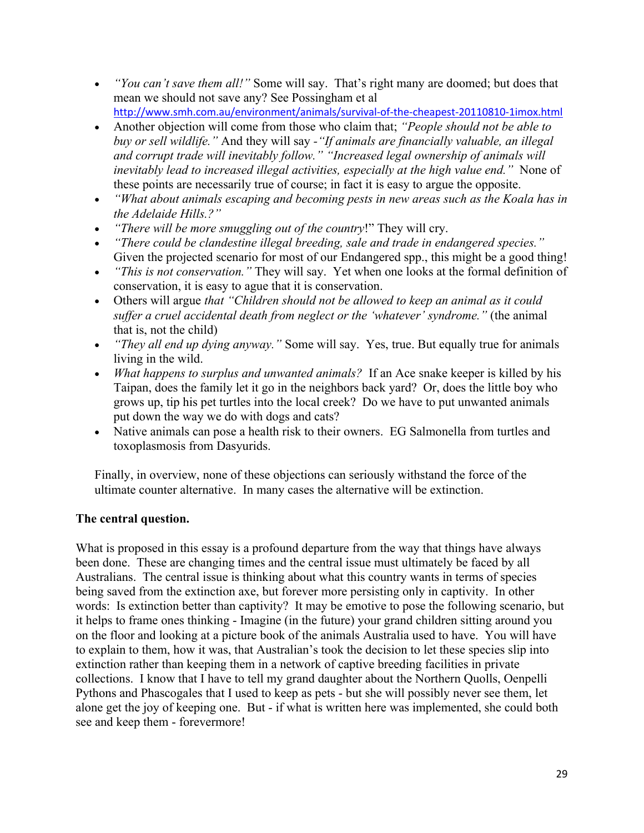| $0>$<br>Ţ                                | $? / -$<br>Ţ<br>%C<br>$\overline{a}$                                          | $\%$                                         | $2\%$                                                         |              |
|------------------------------------------|-------------------------------------------------------------------------------|----------------------------------------------|---------------------------------------------------------------|--------------|
|                                          |                                                                               | #                                            | $\frac{\#'}{2}$ 0 (<br>$\sim 0$<br>$\mathbf{r}_i$             |              |
| $\overline{1}$                           | $\mathbf{I}%$<br>Ţ<br>$%$ !<br>$0$ ;                                          | $\frac{1}{2}$<br>$0$ ;<br>$\bar{\mathbf{u}}$ |                                                               |              |
|                                          | $\%$<br>$\overline{c}$                                                        |                                              | $\frac{1}{2}$                                                 |              |
| 07                                       | $\mathsf{A}\,/\,$<br>$^\text{\textregistered}$                                |                                              |                                                               |              |
| 0!                                       |                                                                               | $\mathbf{H}$                                 | N <sub>1</sub><br>$\%$ !<br>$\%$                              |              |
| $0!$                                     | $\sqrt{\phantom{a}}$<br>$\pmb{9}$                                             |                                              |                                                               | $\mathsf{N}$ |
| 0!                                       | $\%$ $\%$<br>$/$ !                                                            | ${\sf P}$<br>$\mathbf{I}$                    | $\mathbf I$                                                   |              |
| $\frac{1}{2}$<br>ļ                       | $\begin{array}{c} 96 \\ 0 \ 4 \end{array}$                                    |                                              | $\#$                                                          |              |
|                                          |                                                                               |                                              | $\sf B$                                                       | $/$ *        |
| 0!                                       | $\pmb{\cdot}$<br>$!/\!\!/$                                                    | $\%$                                         | $\sf{P}$ A<br>$\%$<br>$\qquad \qquad =$                       |              |
| $\overline{7}$                           | Ţ                                                                             |                                              | $\mathbf{I}$                                                  | $\%$         |
|                                          | $\%$                                                                          |                                              | $A \begin{array}{c} 8 \\ 6 \\ 1 \end{array}$ C $\$$           |              |
| ļ<br>Ţ                                   | !! $%$<br>Ţ                                                                   | $\frac{1}{c}$                                |                                                               |              |
| $\#$                                     | $\%$                                                                          | $\mathbf{I}^{-1}$                            | $9 -$                                                         |              |
|                                          |                                                                               |                                              |                                                               |              |
| $\%$                                     | Ţ<br>$\frac{1}{2}$<br>$\&$                                                    |                                              | % $\frac{1}{1}$<br>$\#$                                       |              |
|                                          |                                                                               |                                              |                                                               |              |
| $\mathsf C$                              | $\ensuremath{\mathsf{3}}$                                                     |                                              |                                                               |              |
|                                          | $\%$                                                                          |                                              | ‼ %<br>%                                                      |              |
|                                          |                                                                               | $\mathbf I$                                  |                                                               |              |
| $\mathsf D$<br>$\boldsymbol{\&}$<br>$\#$ | #<br>$\#$                                                                     | % C                                          | % ! $\frac{1}{3}$ %<br>$\mathcal{L}$<br>$\mathop{!}\nolimits$ |              |
|                                          | $\cdot$ " &<br>$\star$<br>$\mathbf{r}$<br>$\mathbf I$                         | $\%$<br>$\overline{\phantom{a}}$             | $\frac{1}{2}$                                                 |              |
| $\#$<br>ļ.                               | $\frac{1}{2}$                                                                 | $\mathbf{I}$                                 |                                                               | $\sf P$      |
|                                          | $\bar{1}$<br>$\,$ I<br>Ţ<br>&<br>$\mathbf{I}$                                 | $\%$                                         | \$<br>$\mathsf{R}$                                            |              |
| $8 / 8$<br>$9 / 8$<br>$9 / 8$            | $\boldsymbol{\alpha}$<br>$\mathbf{L}$                                         | $\pmb{\mathsf{H}}$                           | $\%$<br>Ţ                                                     |              |
| $\mathbf{I}$                             | $\blacksquare$<br>$\mathsf A$<br>$\mathbf{I}$<br>Ţ<br>$\overline{\mathsf{N}}$ | $\prod_{i=1}^n \alpha_i$                     |                                                               |              |

 $\overline{(\ }$ 

 $\frac{1}{2}$